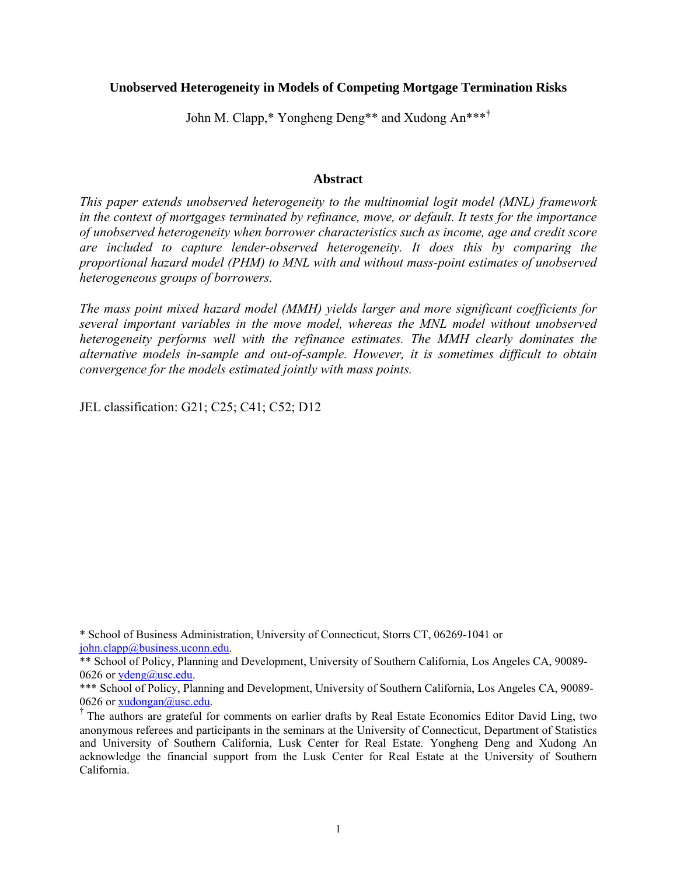## **Unobserved Heterogeneity in Models of Competing Mortgage Termination Risks**

John M. Clapp,\* Yongheng Deng\*\* and Xudong An\*\*\*†

### **Abstract**

*This paper extends unobserved heterogeneity to the multinomial logit model (MNL) framework in the context of mortgages terminated by refinance, move, or default. It tests for the importance of unobserved heterogeneity when borrower characteristics such as income, age and credit score are included to capture lender-observed heterogeneity. It does this by comparing the proportional hazard model (PHM) to MNL with and without mass-point estimates of unobserved heterogeneous groups of borrowers.* 

*The mass point mixed hazard model (MMH) yields larger and more significant coefficients for several important variables in the move model, whereas the MNL model without unobserved heterogeneity performs well with the refinance estimates. The MMH clearly dominates the alternative models in-sample and out-of-sample. However, it is sometimes difficult to obtain convergence for the models estimated jointly with mass points.* 

JEL classification: G21; C25; C41; C52; D12

<sup>\*</sup> School of Business Administration, University of Connecticut, Storrs CT, 06269-1041 or [john.clapp@business.uconn.edu](mailto:john.clapp@business.uconn.edu).

<sup>\*\*</sup> School of Policy, Planning and Development, University of Southern California, Los Angeles CA, 90089 0626 or [ydeng@usc.edu](mailto:ydeng@usc.edu).

<sup>\*\*\*</sup> School of Policy, Planning and Development, University of Southern California, Los Angeles CA, 90089-0626 or  $\underline{xudongan@usc.edu}.$ <br><sup>†</sup> The authors are grateful for comments on earlier drafts by Real Estate Economics Editor David Ling, two

anonymous referees and participants in the seminars at the University of Connecticut, Department of Statistics and University of Southern California, Lusk Center for Real Estate*.* Yongheng Deng and Xudong An acknowledge the financial support from the Lusk Center for Real Estate at the University of Southern California.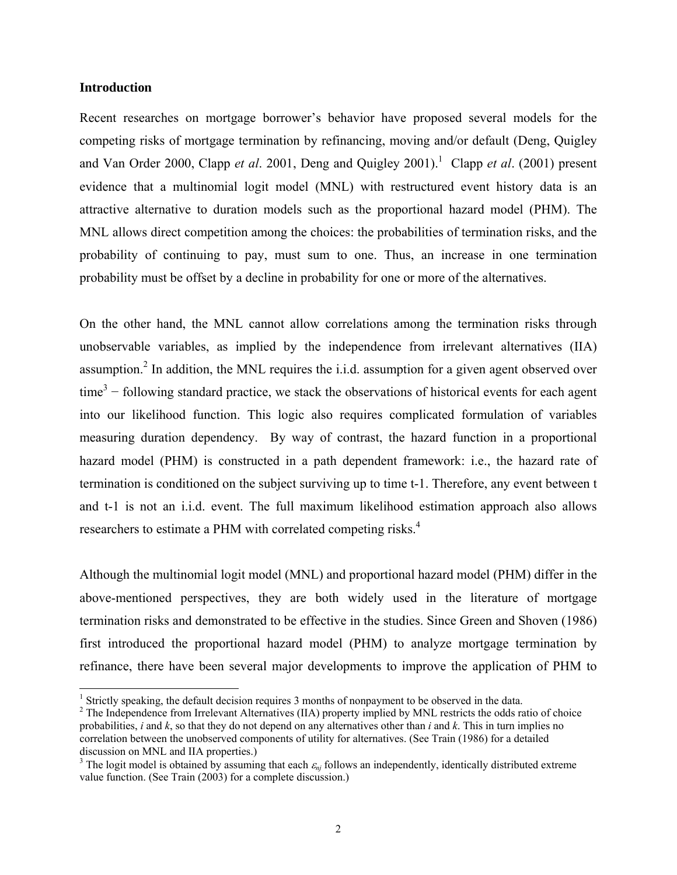### **Introduction**

Recent researches on mortgage borrower's behavior have proposed several models for the competing risks of mortgage termination by refinancing, moving and/or default (Deng, Quigley and Van Order 2000, Clapp *et al.* 200[1](#page-1-0), Deng and Quigley 2001).<sup>1</sup> Clapp *et al.* (2001) present evidence that a multinomial logit model (MNL) with restructured event history data is an attractive alternative to duration models such as the proportional hazard model (PHM). The MNL allows direct competition among the choices: the probabilities of termination risks, and the probability of continuing to pay, must sum to one. Thus, an increase in one termination probability must be offset by a decline in probability for one or more of the alternatives.

On the other hand, the MNL cannot allow correlations among the termination risks through unobservable variables, as implied by the independence from irrelevant alternatives (IIA) assumption.<sup>[2](#page-1-1)</sup> In addition, the MNL requires the i.i.d. assumption for a given agent observed over  $time<sup>3</sup>$  $time<sup>3</sup>$  $time<sup>3</sup>$  – following standard practice, we stack the observations of historical events for each agent into our likelihood function. This logic also requires complicated formulation of variables measuring duration dependency. By way of contrast, the hazard function in a proportional hazard model (PHM) is constructed in a path dependent framework: i.e., the hazard rate of termination is conditioned on the subject surviving up to time t-1. Therefore, any event between t and t-1 is not an i.i.d. event. The full maximum likelihood estimation approach also allows researchers to estimate a PHM with correlated competing risks.<sup>[4](#page-1-3)</sup>

Although the multinomial logit model (MNL) and proportional hazard model (PHM) differ in the above-mentioned perspectives, they are both widely used in the literature of mortgage termination risks and demonstrated to be effective in the studies. Since Green and Shoven (1986) first introduced the proportional hazard model (PHM) to analyze mortgage termination by refinance, there have been several major developments to improve the application of PHM to

<sup>|&</sup>lt;br>|<br>|

<span id="page-1-1"></span><span id="page-1-0"></span> $\frac{1}{2}$  Strictly speaking, the default decision requires 3 months of nonpayment to be observed in the data.  $\frac{2}{3}$  The Independence from Irrelevant Alternatives (IIA) property implied by MNL restricts the odds ratio probabilities, *i* and *k*, so that they do not depend on any alternatives other than *i* and *k*. This in turn implies no correlation between the unobserved components of utility for alternatives. (See Train (1986) for a detailed discussion on MNL and IIA properties.) 3

<span id="page-1-3"></span><span id="page-1-2"></span><sup>&</sup>lt;sup>3</sup> The logit model is obtained by assuming that each  $\varepsilon_{ni}$  follows an independently, identically distributed extreme value function. (See Train (2003) for a complete discussion.)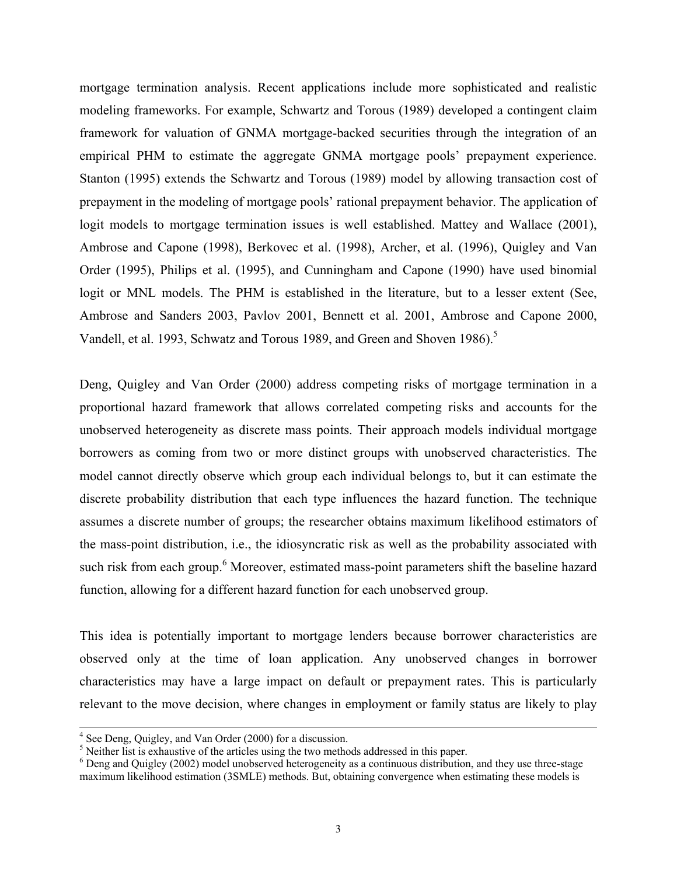mortgage termination analysis. Recent applications include more sophisticated and realistic modeling frameworks. For example, Schwartz and Torous (1989) developed a contingent claim framework for valuation of GNMA mortgage-backed securities through the integration of an empirical PHM to estimate the aggregate GNMA mortgage pools' prepayment experience. Stanton (1995) extends the Schwartz and Torous (1989) model by allowing transaction cost of prepayment in the modeling of mortgage pools' rational prepayment behavior. The application of logit models to mortgage termination issues is well established. Mattey and Wallace (2001), Ambrose and Capone (1998), Berkovec et al. (1998), Archer, et al. (1996), Quigley and Van Order (1995), Philips et al. (1995), and Cunningham and Capone (1990) have used binomial logit or MNL models. The PHM is established in the literature, but to a lesser extent (See, Ambrose and Sanders 2003, Pavlov 2001, Bennett et al. 2001, Ambrose and Capone 2000, Vandell, et al. 1993, Schwatz and Torous 1989, and Green and Shoven 1986).<sup>5</sup>

Deng, Quigley and Van Order (2000) address competing risks of mortgage termination in a proportional hazard framework that allows correlated competing risks and accounts for the unobserved heterogeneity as discrete mass points. Their approach models individual mortgage borrowers as coming from two or more distinct groups with unobserved characteristics. The model cannot directly observe which group each individual belongs to, but it can estimate the discrete probability distribution that each type influences the hazard function. The technique assumes a discrete number of groups; the researcher obtains maximum likelihood estimators of the mass-point distribution, i.e., the idiosyncratic risk as well as the probability associated with such risk from each group.<sup>6</sup> Moreover, estimated mass-point parameters shift the baseline hazard function, allowing for a different hazard function for each unobserved group.

This idea is potentially important to mortgage lenders because borrower characteristics are observed only at the time of loan application. Any unobserved changes in borrower characteristics may have a large impact on default or prepayment rates. This is particularly relevant to the move decision, where changes in employment or family status are likely to play

 <sup>4</sup>  $4$  See Deng, Quigley, and Van Order (2000) for a discussion.

<span id="page-2-0"></span> $<sup>5</sup>$  Neither list is exhaustive of the articles using the two methods addressed in this paper.</sup>

<span id="page-2-1"></span>Deng and Quigley (2002) model unobserved heterogeneity as a continuous distribution, and they use three-stage maximum likelihood estimation (3SMLE) methods. But, obtaining convergence when estimating these models is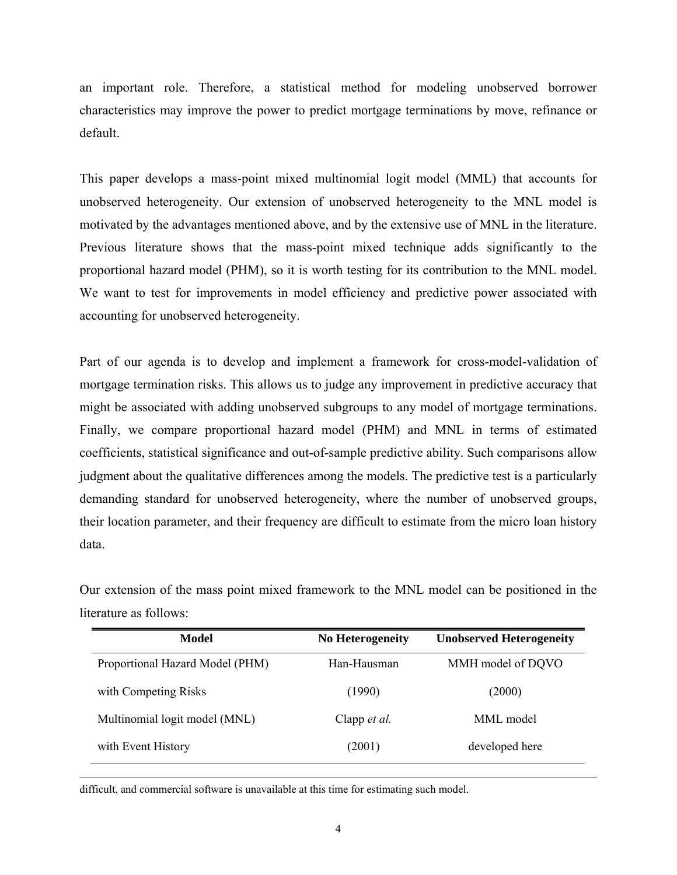an important role. Therefore, a statistical method for modeling unobserved borrower characteristics may improve the power to predict mortgage terminations by move, refinance or default.

This paper develops a mass-point mixed multinomial logit model (MML) that accounts for unobserved heterogeneity. Our extension of unobserved heterogeneity to the MNL model is motivated by the advantages mentioned above, and by the extensive use of MNL in the literature. Previous literature shows that the mass-point mixed technique adds significantly to the proportional hazard model (PHM), so it is worth testing for its contribution to the MNL model. We want to test for improvements in model efficiency and predictive power associated with accounting for unobserved heterogeneity.

Part of our agenda is to develop and implement a framework for cross-model-validation of mortgage termination risks. This allows us to judge any improvement in predictive accuracy that might be associated with adding unobserved subgroups to any model of mortgage terminations. Finally, we compare proportional hazard model (PHM) and MNL in terms of estimated coefficients, statistical significance and out-of-sample predictive ability. Such comparisons allow judgment about the qualitative differences among the models. The predictive test is a particularly demanding standard for unobserved heterogeneity, where the number of unobserved groups, their location parameter, and their frequency are difficult to estimate from the micro loan history data.

Our extension of the mass point mixed framework to the MNL model can be positioned in the literature as follows:

| Model                           | <b>No Heterogeneity</b> | <b>Unobserved Heterogeneity</b> |
|---------------------------------|-------------------------|---------------------------------|
| Proportional Hazard Model (PHM) | Han-Hausman             | MMH model of DQVO               |
| with Competing Risks            | (1990)                  | (2000)                          |
| Multinomial logit model (MNL)   | Clapp <i>et al.</i>     | MML model                       |
| with Event History              | (2001)                  | developed here                  |

difficult, and commercial software is unavailable at this time for estimating such model.

 $\overline{a}$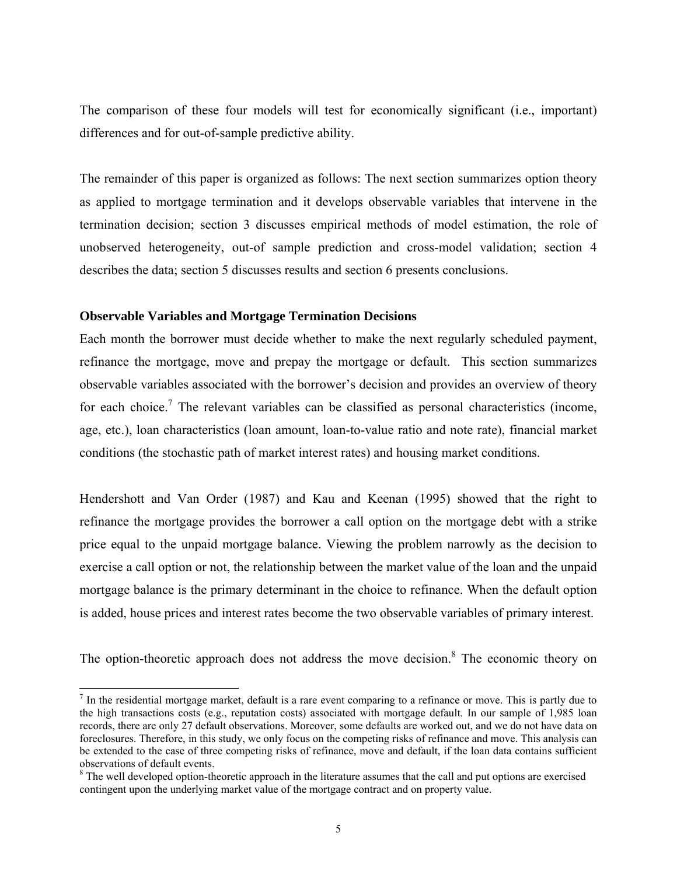The comparison of these four models will test for economically significant (i.e., important) differences and for out-of-sample predictive ability.

The remainder of this paper is organized as follows: The next section summarizes option theory as applied to mortgage termination and it develops observable variables that intervene in the termination decision; section 3 discusses empirical methods of model estimation, the role of unobserved heterogeneity, out-of sample prediction and cross-model validation; section 4 describes the data; section 5 discusses results and section 6 presents conclusions.

### **Observable Variables and Mortgage Termination Decisions**

Each month the borrower must decide whether to make the next regularly scheduled payment, refinance the mortgage, move and prepay the mortgage or default. This section summarizes observable variables associated with the borrower's decision and provides an overview of theory for each choice.<sup>7</sup> The relevant variables can be classified as personal characteristics (income, age, etc.), loan characteristics (loan amount, loan-to-value ratio and note rate), financial market conditions (the stochastic path of market interest rates) and housing market conditions.

Hendershott and Van Order (1987) and Kau and Keenan (1995) showed that the right to refinance the mortgage provides the borrower a call option on the mortgage debt with a strike price equal to the unpaid mortgage balance. Viewing the problem narrowly as the decision to exercise a call option or not, the relationship between the market value of the loan and the unpaid mortgage balance is the primary determinant in the choice to refinance. When the default option is added, house prices and interest rates become the two observable variables of primary interest.

The option-theoretic approach does not address the move decision. $8$  The economic theory on

<span id="page-4-0"></span><sup>-&</sup>lt;br>7 In the residential mortgage market, default is a rare event comparing to a refinance or move. This is partly due to the high transactions costs (e.g., reputation costs) associated with mortgage default. In our sample of 1,985 loan records, there are only 27 default observations. Moreover, some defaults are worked out, and we do not have data on foreclosures. Therefore, in this study, we only focus on the competing risks of refinance and move. This analysis can be extended to the case of three competing risks of refinance, move and default, if the loan data contains sufficient observations of default events. 8

<span id="page-4-1"></span> $8$  The well developed option-theoretic approach in the literature assumes that the call and put options are exercised contingent upon the underlying market value of the mortgage contract and on property value.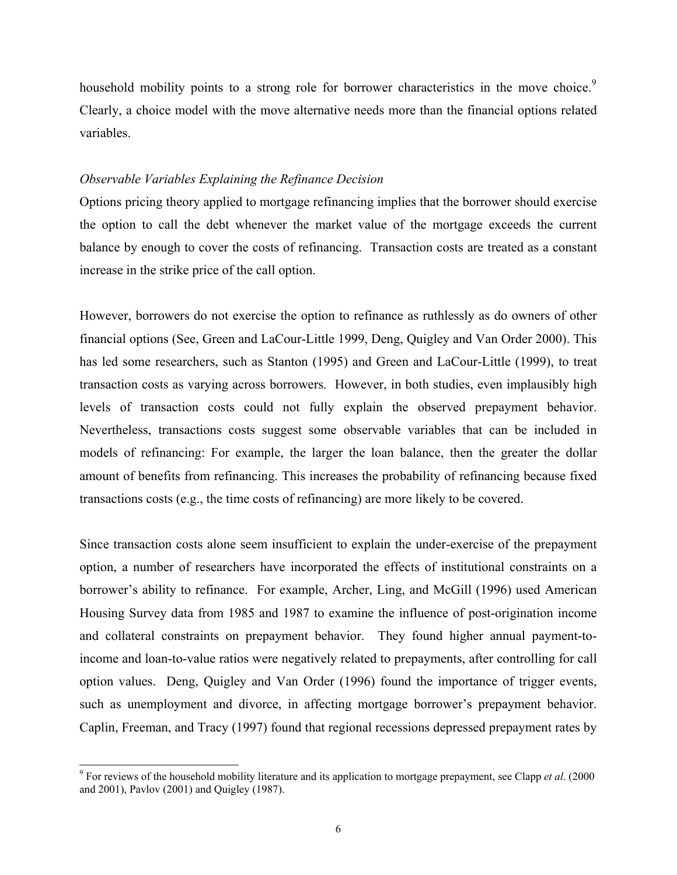household mobility points to a strong role for borrower characteristics in the move choice.<sup>[9](#page-5-0)</sup> Clearly, a choice model with the move alternative needs more than the financial options related variables.

### *Observable Variables Explaining the Refinance Decision*

Options pricing theory applied to mortgage refinancing implies that the borrower should exercise the option to call the debt whenever the market value of the mortgage exceeds the current balance by enough to cover the costs of refinancing. Transaction costs are treated as a constant increase in the strike price of the call option.

However, borrowers do not exercise the option to refinance as ruthlessly as do owners of other financial options (See, Green and LaCour-Little 1999, Deng, Quigley and Van Order 2000). This has led some researchers, such as Stanton (1995) and Green and LaCour-Little (1999), to treat transaction costs as varying across borrowers. However, in both studies, even implausibly high levels of transaction costs could not fully explain the observed prepayment behavior. Nevertheless, transactions costs suggest some observable variables that can be included in models of refinancing: For example, the larger the loan balance, then the greater the dollar amount of benefits from refinancing. This increases the probability of refinancing because fixed transactions costs (e.g., the time costs of refinancing) are more likely to be covered.

Since transaction costs alone seem insufficient to explain the under-exercise of the prepayment option, a number of researchers have incorporated the effects of institutional constraints on a borrower's ability to refinance. For example, Archer, Ling, and McGill (1996) used American Housing Survey data from 1985 and 1987 to examine the influence of post-origination income and collateral constraints on prepayment behavior. They found higher annual payment-toincome and loan-to-value ratios were negatively related to prepayments, after controlling for call option values. Deng, Quigley and Van Order (1996) found the importance of trigger events, such as unemployment and divorce, in affecting mortgage borrower's prepayment behavior. Caplin, Freeman, and Tracy (1997) found that regional recessions depressed prepayment rates by

<span id="page-5-0"></span><sup>9</sup>  For reviews of the household mobility literature and its application to mortgage prepayment, see Clapp *et al*. (2000 and 2001), Pavlov (2001) and Quigley (1987).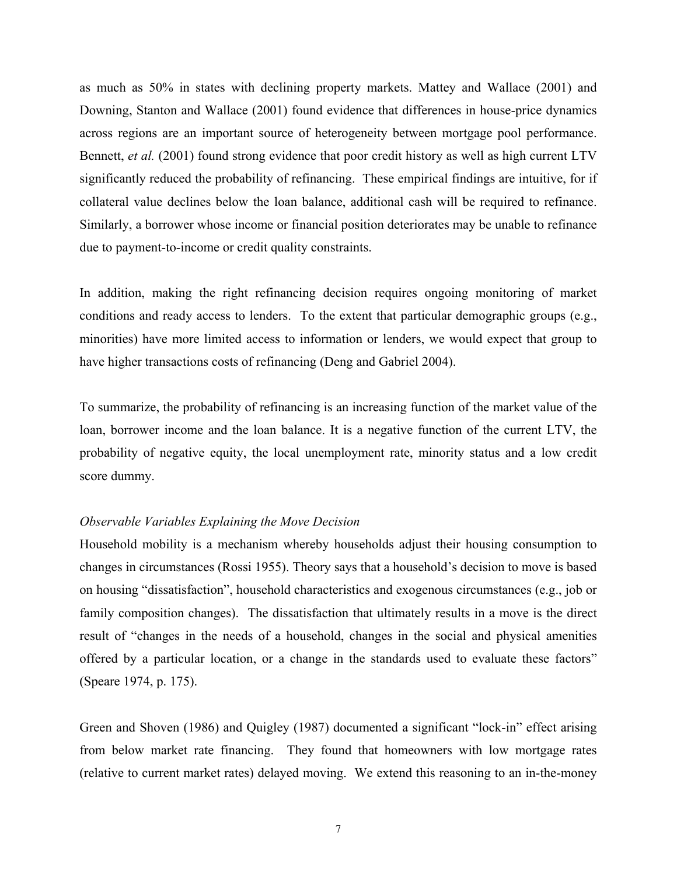as much as 50% in states with declining property markets. Mattey and Wallace (2001) and Downing, Stanton and Wallace (2001) found evidence that differences in house-price dynamics across regions are an important source of heterogeneity between mortgage pool performance. Bennett, *et al.* (2001) found strong evidence that poor credit history as well as high current LTV significantly reduced the probability of refinancing. These empirical findings are intuitive, for if collateral value declines below the loan balance, additional cash will be required to refinance. Similarly, a borrower whose income or financial position deteriorates may be unable to refinance due to payment-to-income or credit quality constraints.

In addition, making the right refinancing decision requires ongoing monitoring of market conditions and ready access to lenders. To the extent that particular demographic groups (e.g., minorities) have more limited access to information or lenders, we would expect that group to have higher transactions costs of refinancing (Deng and Gabriel 2004).

To summarize, the probability of refinancing is an increasing function of the market value of the loan, borrower income and the loan balance. It is a negative function of the current LTV, the probability of negative equity, the local unemployment rate, minority status and a low credit score dummy.

### *Observable Variables Explaining the Move Decision*

Household mobility is a mechanism whereby households adjust their housing consumption to changes in circumstances (Rossi 1955). Theory says that a household's decision to move is based on housing "dissatisfaction", household characteristics and exogenous circumstances (e.g., job or family composition changes). The dissatisfaction that ultimately results in a move is the direct result of "changes in the needs of a household, changes in the social and physical amenities offered by a particular location, or a change in the standards used to evaluate these factors" (Speare 1974, p. 175).

Green and Shoven (1986) and Quigley (1987) documented a significant "lock-in" effect arising from below market rate financing. They found that homeowners with low mortgage rates (relative to current market rates) delayed moving. We extend this reasoning to an in-the-money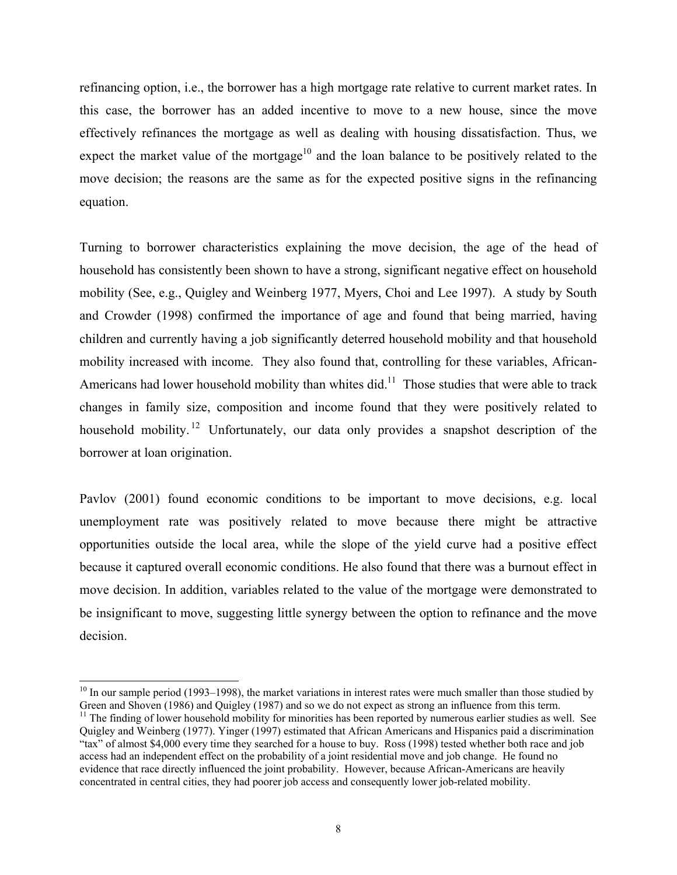refinancing option, i.e., the borrower has a high mortgage rate relative to current market rates. In this case, the borrower has an added incentive to move to a new house, since the move effectively refinances the mortgage as well as dealing with housing dissatisfaction. Thus, we expect the market value of the mortgage<sup>10</sup> and the loan balance to be positively related to the move decision; the reasons are the same as for the expected positive signs in the refinancing equation.

Turning to borrower characteristics explaining the move decision, the age of the head of household has consistently been shown to have a strong, significant negative effect on household mobility (See, e.g., Quigley and Weinberg 1977, Myers, Choi and Lee 1997). A study by South and Crowder (1998) confirmed the importance of age and found that being married, having children and currently having a job significantly deterred household mobility and that household mobility increased with income. They also found that, controlling for these variables, African-Americans had lower household mobility than whites did.<sup>11</sup> Those studies that were able to track changes in family size, composition and income found that they were positively related to household mobility.<sup>12</sup> Unfortunately, our data only provides a snapshot description of the borrower at loan origination.

Pavlov (2001) found economic conditions to be important to move decisions, e.g. local unemployment rate was positively related to move because there might be attractive opportunities outside the local area, while the slope of the yield curve had a positive effect because it captured overall economic conditions. He also found that there was a burnout effect in move decision. In addition, variables related to the value of the mortgage were demonstrated to be insignificant to move, suggesting little synergy between the option to refinance and the move decision.

<span id="page-7-0"></span> $10$  In our sample period (1993–1998), the market variations in interest rates were much smaller than those studied by Green and Shoven (1986) and Quigley (1987) and so we do not expect as strong an influence from this term.<br><sup>11</sup> The finding of lower household mobility for minorities has been reported by numerous earlier studies as well. S

<span id="page-7-2"></span><span id="page-7-1"></span>Quigley and Weinberg (1977). Yinger (1997) estimated that African Americans and Hispanics paid a discrimination "tax" of almost \$4,000 every time they searched for a house to buy. Ross (1998) tested whether both race and job access had an independent effect on the probability of a joint residential move and job change. He found no evidence that race directly influenced the joint probability. However, because African-Americans are heavily concentrated in central cities, they had poorer job access and consequently lower job-related mobility.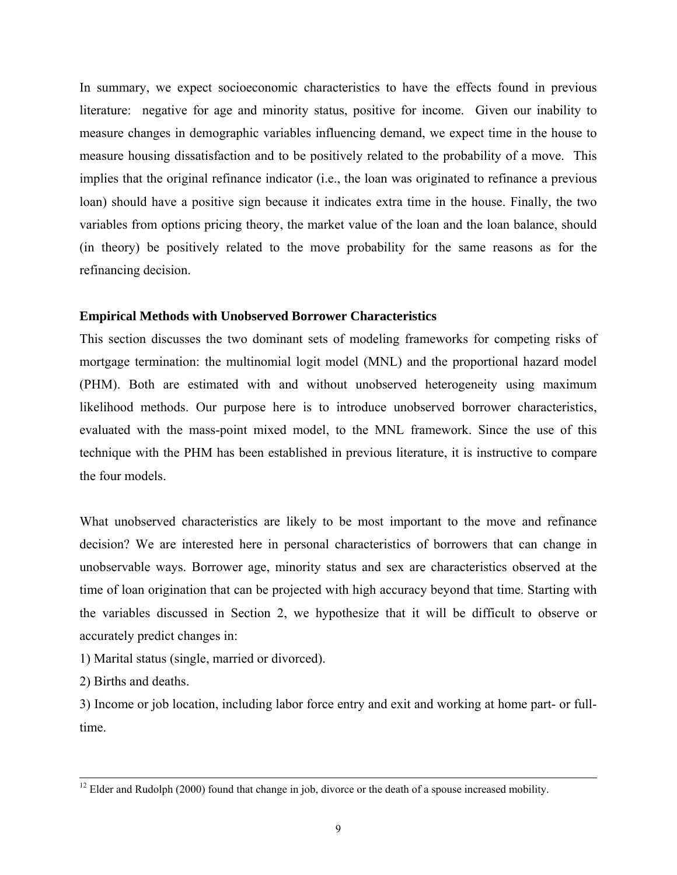In summary, we expect socioeconomic characteristics to have the effects found in previous literature: negative for age and minority status, positive for income. Given our inability to measure changes in demographic variables influencing demand, we expect time in the house to measure housing dissatisfaction and to be positively related to the probability of a move. This implies that the original refinance indicator (i.e., the loan was originated to refinance a previous loan) should have a positive sign because it indicates extra time in the house. Finally, the two variables from options pricing theory, the market value of the loan and the loan balance, should (in theory) be positively related to the move probability for the same reasons as for the refinancing decision.

### **Empirical Methods with Unobserved Borrower Characteristics**

This section discusses the two dominant sets of modeling frameworks for competing risks of mortgage termination: the multinomial logit model (MNL) and the proportional hazard model (PHM). Both are estimated with and without unobserved heterogeneity using maximum likelihood methods. Our purpose here is to introduce unobserved borrower characteristics, evaluated with the mass-point mixed model, to the MNL framework. Since the use of this technique with the PHM has been established in previous literature, it is instructive to compare the four models.

What unobserved characteristics are likely to be most important to the move and refinance decision? We are interested here in personal characteristics of borrowers that can change in unobservable ways. Borrower age, minority status and sex are characteristics observed at the time of loan origination that can be projected with high accuracy beyond that time. Starting with the variables discussed in Section 2, we hypothesize that it will be difficult to observe or accurately predict changes in:

1) Marital status (single, married or divorced).

2) Births and deaths.

3) Income or job location, including labor force entry and exit and working at home part- or fulltime.

<sup>&</sup>lt;sup>12</sup> Elder and Rudolph (2000) found that change in job, divorce or the death of a spouse increased mobility.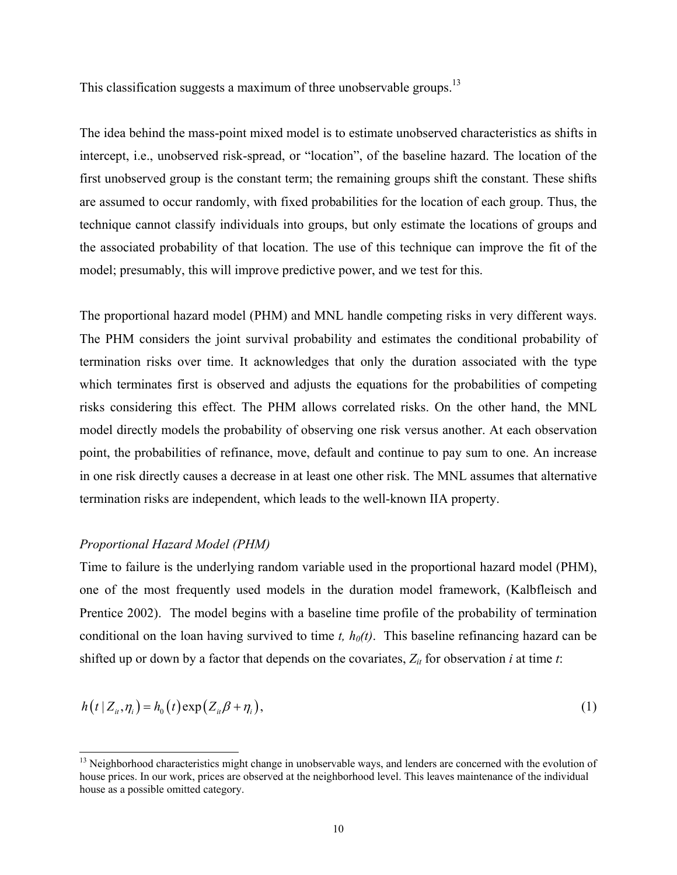This classification suggests a maximum of three unobservable groups.<sup>13</sup>

The idea behind the mass-point mixed model is to estimate unobserved characteristics as shifts in intercept, i.e., unobserved risk-spread, or "location", of the baseline hazard. The location of the first unobserved group is the constant term; the remaining groups shift the constant. These shifts are assumed to occur randomly, with fixed probabilities for the location of each group. Thus, the technique cannot classify individuals into groups, but only estimate the locations of groups and the associated probability of that location. The use of this technique can improve the fit of the model; presumably, this will improve predictive power, and we test for this.

The proportional hazard model (PHM) and MNL handle competing risks in very different ways. The PHM considers the joint survival probability and estimates the conditional probability of termination risks over time. It acknowledges that only the duration associated with the type which terminates first is observed and adjusts the equations for the probabilities of competing risks considering this effect. The PHM allows correlated risks. On the other hand, the MNL model directly models the probability of observing one risk versus another. At each observation point, the probabilities of refinance, move, default and continue to pay sum to one. An increase in one risk directly causes a decrease in at least one other risk. The MNL assumes that alternative termination risks are independent, which leads to the well-known IIA property.

### *Proportional Hazard Model (PHM)*

 $\overline{a}$ 

Time to failure is the underlying random variable used in the proportional hazard model (PHM), one of the most frequently used models in the duration model framework, (Kalbfleisch and Prentice 2002). The model begins with a baseline time profile of the probability of termination conditional on the loan having survived to time  $t$ ,  $h<sub>0</sub>(t)$ . This baseline refinancing hazard can be shifted up or down by a factor that depends on the covariates,  $Z_{it}$  for observation *i* at time *t*:

$$
h(t|Z_{ii},\eta_i) = h_0(t) \exp(Z_{ii}\beta + \eta_i), \qquad (1)
$$

<span id="page-9-0"></span><sup>&</sup>lt;sup>13</sup> Neighborhood characteristics might change in unobservable ways, and lenders are concerned with the evolution of house prices. In our work, prices are observed at the neighborhood level. This leaves maintenance of the individual house as a possible omitted category.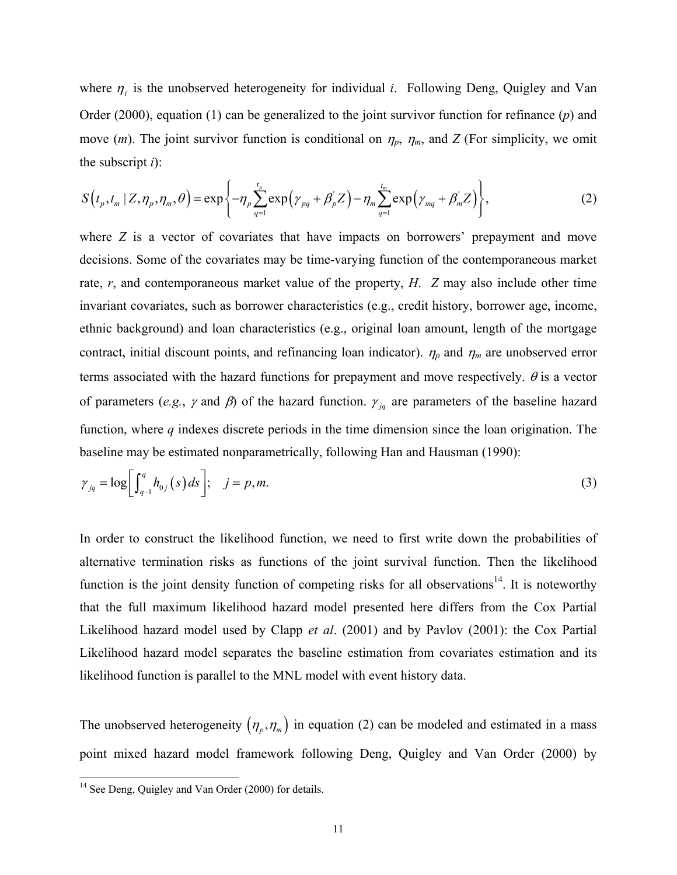where  $\eta_i$  is the unobserved heterogeneity for individual *i*. Following Deng, Quigley and Van Order (2000), equation (1) can be generalized to the joint survivor function for refinance (*p*) and move (*m*). The joint survivor function is conditional on  $\eta_p$ ,  $\eta_m$ , and *Z* (For simplicity, we omit the subscript *i*):

<span id="page-10-0"></span>
$$
S(t_p, t_m | Z, \eta_p, \eta_m, \theta) = \exp\left\{-\eta_p \sum_{q=1}^{t_p} \exp\left(\gamma_{pq} + \beta_p Z\right) - \eta_m \sum_{q=1}^{t_m} \exp\left(\gamma_{mq} + \beta_m Z\right)\right\},\tag{2}
$$

where *Z* is a vector of covariates that have impacts on borrowers' prepayment and move decisions. Some of the covariates may be time-varying function of the contemporaneous market rate, *r*, and contemporaneous market value of the property, *H*. *Z* may also include other time invariant covariates, such as borrower characteristics (e.g., credit history, borrower age, income, ethnic background) and loan characteristics (e.g., original loan amount, length of the mortgage contract, initial discount points, and refinancing loan indicator).  $\eta_p$  and  $\eta_m$  are unobserved error terms associated with the hazard functions for prepayment and move respectively.  $\theta$  is a vector of parameters (*e.g.*,  $\gamma$  and  $\beta$ ) of the hazard function.  $\gamma_{jq}$  are parameters of the baseline hazard function, where *q* indexes discrete periods in the time dimension since the loan origination. The baseline may be estimated nonparametrically, following Han and Hausman (1990):

$$
\gamma_{jq} = \log \left[ \int_{q-1}^q h_{0j}(s) \, ds \right]; \quad j = p, m. \tag{3}
$$

In order to construct the likelihood function, we need to first write down the probabilities of alternative termination risks as functions of the joint survival function. Then the likelihood function is the joint density function of competing risks for all observations<sup>14</sup>. It is noteworthy that the full maximum likelihood hazard model presented here differs from the Cox Partial Likelihood hazard model used by Clapp *et al*. (2001) and by Pavlov (2001): the Cox Partial Likelihood hazard model separates the baseline estimation from covariates estimation and its likelihood function is parallel to the MNL model with event history data.

The unobserved heterogeneity  $(\eta_p, \eta_m)$  in equation [\(2\)](#page-10-0) can be modeled and estimated in a mass point mixed hazard model framework following Deng, Quigley and Van Order (2000) by

<span id="page-10-1"></span> $\frac{14}{14}$  See Deng, Quigley and Van Order (2000) for details.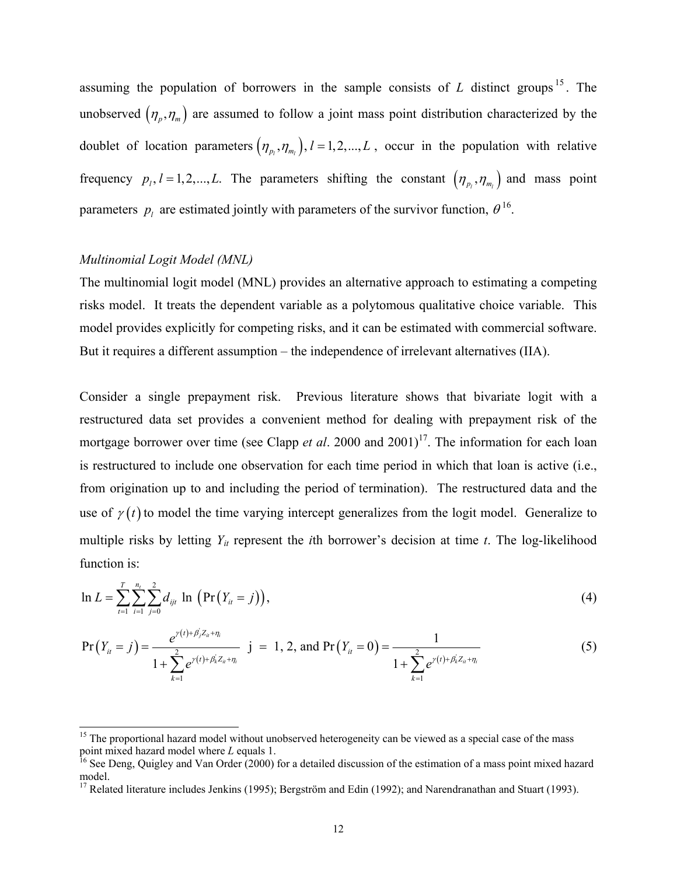assuming the population of borrowers in the sample consists of *L* distinct groups [15](#page-11-0) . The unobserved  $(\eta_p, \eta_m)$  are assumed to follow a joint mass point distribution characterized by the doublet of location parameters  $(\eta_{p_l}, \eta_{m_l})$ ,  $l = 1, 2, ..., L$ , occur in the population with relative frequency  $p_l$ ,  $l = 1, 2, ..., L$ . The parameters shifting the constant  $(\eta_{p_l}, \eta_{m_l})$  and mass point parameters  $p_l$  are estimated jointly with parameters of the survivor function,  $\theta^{16}$ .

### *Multinomial Logit Model (MNL)*

The multinomial logit model (MNL) provides an alternative approach to estimating a competing risks model. It treats the dependent variable as a polytomous qualitative choice variable. This model provides explicitly for competing risks, and it can be estimated with commercial software. But it requires a different assumption – the independence of irrelevant alternatives (IIA).

Consider a single prepayment risk. Previous literature shows that bivariate logit with a restructured data set provides a convenient method for dealing with prepayment risk of the mortgage borrower over time (see Clapp *et al.* 2000 and 2001)<sup>17</sup>. The information for each loan is restructured to include one observation for each time period in which that loan is active (i.e., from origination up to and including the period of termination). The restructured data and the use of  $\gamma(t)$  to model the time varying intercept generalizes from the logit model. Generalize to multiple risks by letting  $Y_{it}$  represent the *i*th borrower's decision at time *t*. The log-likelihood function is:

$$
\ln L = \sum_{t=1}^{T} \sum_{i=1}^{n_t} \sum_{j=0}^{2} d_{ijt} \ln (Pr(Y_{it} = j)), \tag{4}
$$

$$
\Pr(Y_{it} = j) = \frac{e^{\gamma(t) + \beta_j Z_{it} + \eta_i}}{1 + \sum_{k=1}^{2} e^{\gamma(t) + \beta_k' Z_{it} + \eta_i}} \quad j = 1, 2, \text{ and } \Pr(Y_{it} = 0) = \frac{1}{1 + \sum_{k=1}^{2} e^{\gamma(t) + \beta_k' Z_{it} + \eta_i}} \tag{5}
$$

<span id="page-11-0"></span><sup>&</sup>lt;sup>15</sup> The proportional hazard model without unobserved heterogeneity can be viewed as a special case of the mass

<span id="page-11-1"></span>point mixed hazard model where *L* equals 1.<br><sup>16</sup> See Deng, Quigley and Van Order (2000) for a detailed discussion of the estimation of a mass point mixed hazard model.

<span id="page-11-2"></span><sup>17</sup> Related literature includes Jenkins (1995); Bergström and Edin (1992); and Narendranathan and Stuart (1993).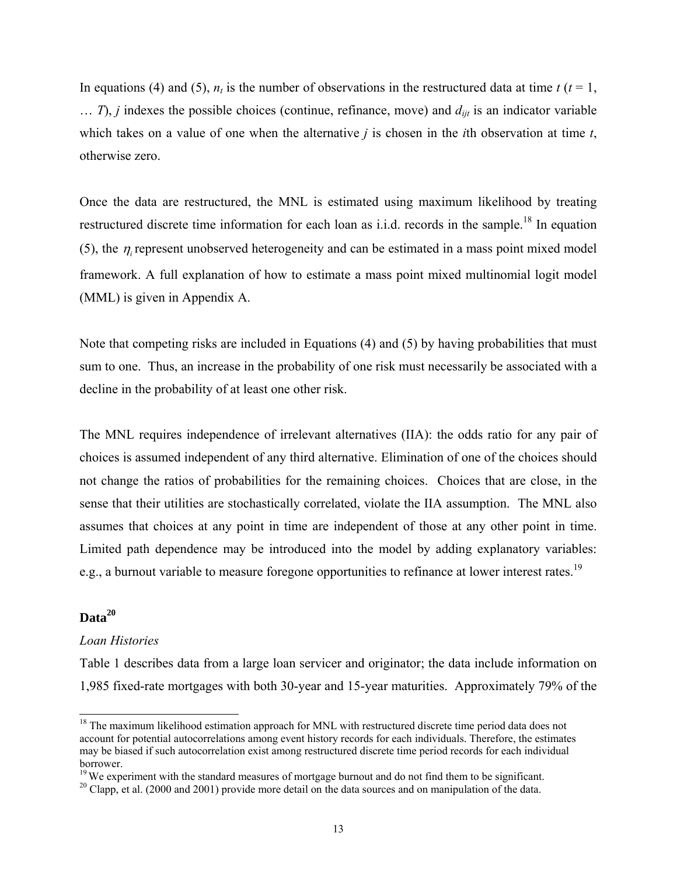In equations (4) and (5),  $n_t$  is the number of observations in the restructured data at time  $t$  ( $t = 1$ ,  $\ldots$  *T*), *j* indexes the possible choices (continue, refinance, move) and  $d_{\textit{int}}$  is an indicator variable which takes on a value of one when the alternative *j* is chosen in the *i*th observation at time *t*, otherwise zero.

Once the data are restructured, the MNL is estimated using maximum likelihood by treating restructured discrete time information for each loan as i.i.d. records in the sample.<sup>18</sup> In equation (5), the  $\eta_i$  represent unobserved heterogeneity and can be estimated in a mass point mixed model framework. A full explanation of how to estimate a mass point mixed multinomial logit model (MML) is given in Appendix A.

Note that competing risks are included in Equations (4) and (5) by having probabilities that must sum to one. Thus, an increase in the probability of one risk must necessarily be associated with a decline in the probability of at least one other risk.

The MNL requires independence of irrelevant alternatives (IIA): the odds ratio for any pair of choices is assumed independent of any third alternative. Elimination of one of the choices should not change the ratios of probabilities for the remaining choices. Choices that are close, in the sense that their utilities are stochastically correlated, violate the IIA assumption. The MNL also assumes that choices at any point in time are independent of those at any other point in time. Limited path dependence may be introduced into the model by adding explanatory variables: e.g., a burnout variable to measure foregone opportunities to refinance at lower interest rates.<sup>[19](#page-12-1)</sup>

# **Data[20](#page-12-2)**

### *Loan Histories*

Table 1 describes data from a large loan servicer and originator; the data include information on 1,985 fixed-rate mortgages with both 30-year and 15-year maturities. Approximately 79% of the

<span id="page-12-0"></span><sup>&</sup>lt;sup>18</sup> The maximum likelihood estimation approach for MNL with restructured discrete time period data does not account for potential autocorrelations among event history records for each individuals. Therefore, the estimates may be biased if such autocorrelation exist among restructured discrete time period records for each individual borrower.<br><sup>19</sup> We experiment with the standard measures of mortgage burnout and do not find them to be significant.<br><sup>20</sup> Clapp, et al. (2000 and 2001) provide more detail on the data sources and on manipulation of the dat

<span id="page-12-1"></span>

<span id="page-12-2"></span>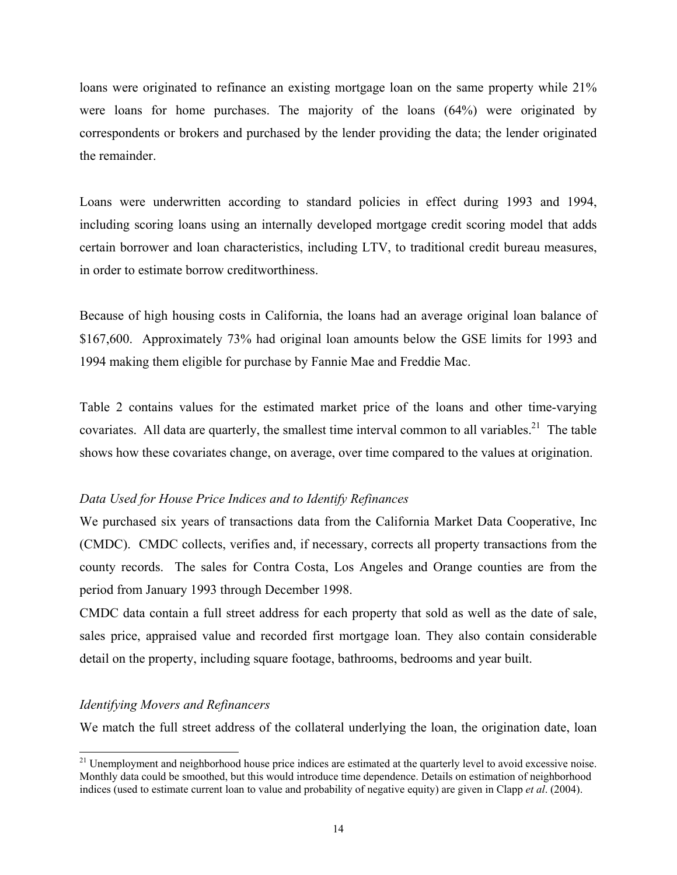loans were originated to refinance an existing mortgage loan on the same property while 21% were loans for home purchases. The majority of the loans (64%) were originated by correspondents or brokers and purchased by the lender providing the data; the lender originated the remainder.

Loans were underwritten according to standard policies in effect during 1993 and 1994, including scoring loans using an internally developed mortgage credit scoring model that adds certain borrower and loan characteristics, including LTV, to traditional credit bureau measures, in order to estimate borrow creditworthiness.

Because of high housing costs in California, the loans had an average original loan balance of \$167,600. Approximately 73% had original loan amounts below the GSE limits for 1993 and 1994 making them eligible for purchase by Fannie Mae and Freddie Mac.

Table 2 contains values for the estimated market price of the loans and other time-varying covariates. All data are quarterly, the smallest time interval common to all variables.<sup>21</sup> The table shows how these covariates change, on average, over time compared to the values at origination.

# *Data Used for House Price Indices and to Identify Refinances*

We purchased six years of transactions data from the California Market Data Cooperative, Inc (CMDC). CMDC collects, verifies and, if necessary, corrects all property transactions from the county records. The sales for Contra Costa, Los Angeles and Orange counties are from the period from January 1993 through December 1998.

CMDC data contain a full street address for each property that sold as well as the date of sale, sales price, appraised value and recorded first mortgage loan. They also contain considerable detail on the property, including square footage, bathrooms, bedrooms and year built.

## *Identifying Movers and Refinancers*

We match the full street address of the collateral underlying the loan, the origination date, loan

<span id="page-13-0"></span> $21$  Unemployment and neighborhood house price indices are estimated at the quarterly level to avoid excessive noise. Monthly data could be smoothed, but this would introduce time dependence. Details on estimation of neighborhood indices (used to estimate current loan to value and probability of negative equity) are given in Clapp *et al*. (2004).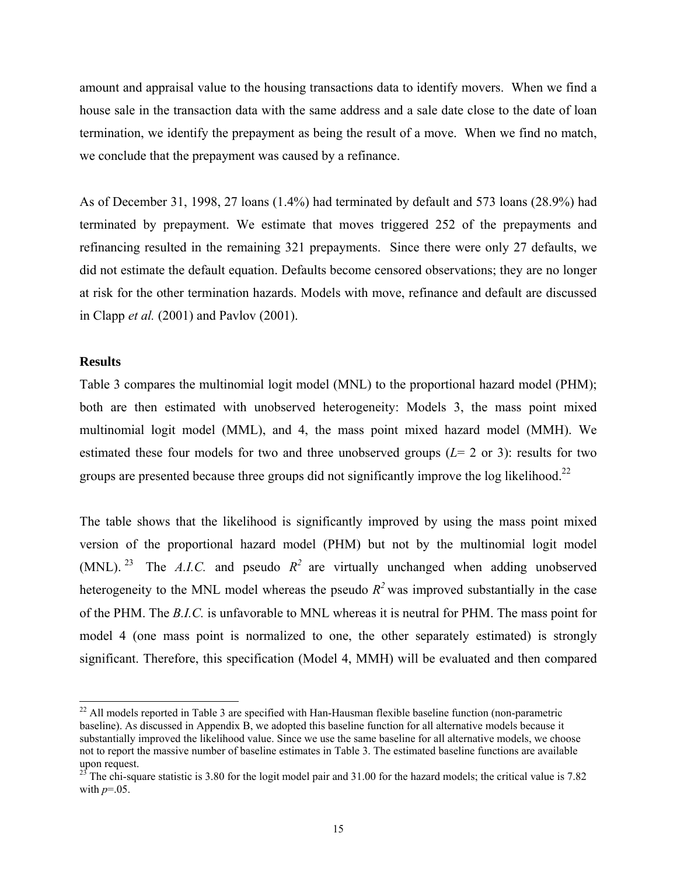amount and appraisal value to the housing transactions data to identify movers. When we find a house sale in the transaction data with the same address and a sale date close to the date of loan termination, we identify the prepayment as being the result of a move. When we find no match, we conclude that the prepayment was caused by a refinance.

As of December 31, 1998, 27 loans (1.4%) had terminated by default and 573 loans (28.9%) had terminated by prepayment. We estimate that moves triggered 252 of the prepayments and refinancing resulted in the remaining 321 prepayments. Since there were only 27 defaults, we did not estimate the default equation. Defaults become censored observations; they are no longer at risk for the other termination hazards. Models with move, refinance and default are discussed in Clapp *et al.* (2001) and Pavlov (2001).

### **Results**

Table 3 compares the multinomial logit model (MNL) to the proportional hazard model (PHM); both are then estimated with unobserved heterogeneity: Models 3, the mass point mixed multinomial logit model (MML), and 4, the mass point mixed hazard model (MMH). We estimated these four models for two and three unobserved groups  $(L= 2 \text{ or } 3)$ : results for two groups are presented because three groups did not significantly improve the log likelihood.<sup>22</sup>

The table shows that the likelihood is significantly improved by using the mass point mixed version of the proportional hazard model (PHM) but not by the multinomial logit model (MNL). <sup>23</sup> The *A.I.C.* and pseudo  $R^2$  are virtually unchanged when adding unobserved heterogeneity to the MNL model whereas the pseudo  $R^2$  was improved substantially in the case of the PHM. The *B.I.C.* is unfavorable to MNL whereas it is neutral for PHM. The mass point for model 4 (one mass point is normalized to one, the other separately estimated) is strongly significant. Therefore, this specification (Model 4, MMH) will be evaluated and then compared

<span id="page-14-0"></span><sup>&</sup>lt;sup>22</sup> All models reported in Table 3 are specified with Han-Hausman flexible baseline function (non-parametric baseline). As discussed in Appendix B, we adopted this baseline function for all alternative models because it substantially improved the likelihood value. Since we use the same baseline for all alternative models, we choose not to report the massive number of baseline estimates in Table 3. The estimated baseline functions are available

<span id="page-14-1"></span>upon request.<br><sup>23</sup> The chi-square statistic is 3.80 for the logit model pair and 31.00 for the hazard models; the critical value is 7.82 with  $p=0.05$ .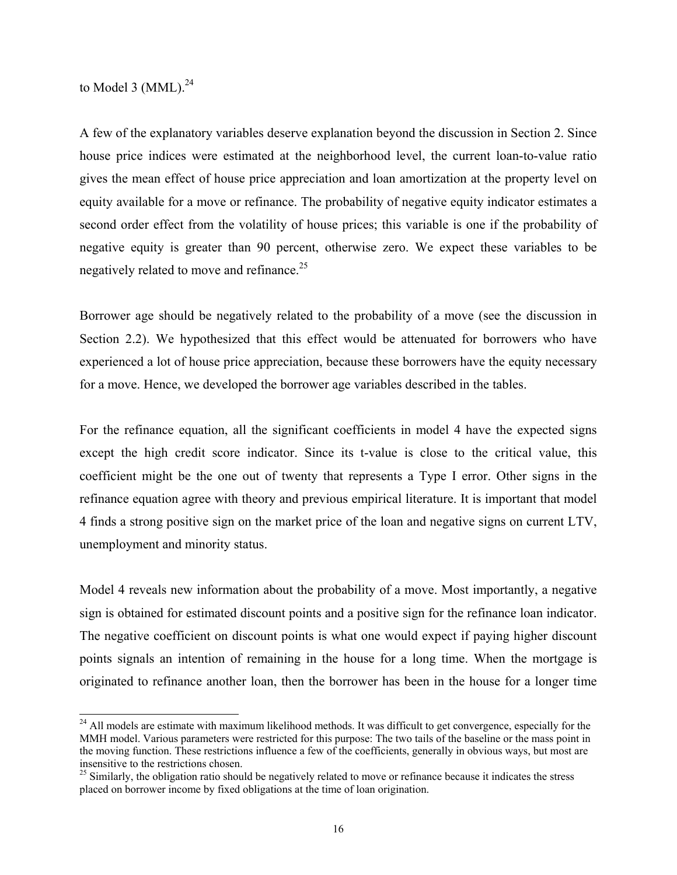to Model 3  $(MML).<sup>24</sup>$ 

A few of the explanatory variables deserve explanation beyond the discussion in Section 2. Since house price indices were estimated at the neighborhood level, the current loan-to-value ratio gives the mean effect of house price appreciation and loan amortization at the property level on equity available for a move or refinance. The probability of negative equity indicator estimates a second order effect from the volatility of house prices; this variable is one if the probability of negative equity is greater than 90 percent, otherwise zero. We expect these variables to be negatively related to move and refinance.<sup>[25](#page-15-1)</sup>

Borrower age should be negatively related to the probability of a move (see the discussion in Section 2.2). We hypothesized that this effect would be attenuated for borrowers who have experienced a lot of house price appreciation, because these borrowers have the equity necessary for a move. Hence, we developed the borrower age variables described in the tables.

For the refinance equation, all the significant coefficients in model 4 have the expected signs except the high credit score indicator. Since its t-value is close to the critical value, this coefficient might be the one out of twenty that represents a Type I error. Other signs in the refinance equation agree with theory and previous empirical literature. It is important that model 4 finds a strong positive sign on the market price of the loan and negative signs on current LTV, unemployment and minority status.

Model 4 reveals new information about the probability of a move. Most importantly, a negative sign is obtained for estimated discount points and a positive sign for the refinance loan indicator. The negative coefficient on discount points is what one would expect if paying higher discount points signals an intention of remaining in the house for a long time. When the mortgage is originated to refinance another loan, then the borrower has been in the house for a longer time

<span id="page-15-0"></span><sup>&</sup>lt;sup>24</sup> All models are estimate with maximum likelihood methods. It was difficult to get convergence, especially for the MMH model. Various parameters were restricted for this purpose: The two tails of the baseline or the mass point in the moving function. These restrictions influence a few of the coefficients, generally in obvious ways, but most are insensitive to the restrictions chosen.<br><sup>25</sup> Similarly, the obligation ratio should be negatively related to move or refinance because it indicates the stress

<span id="page-15-1"></span>placed on borrower income by fixed obligations at the time of loan origination.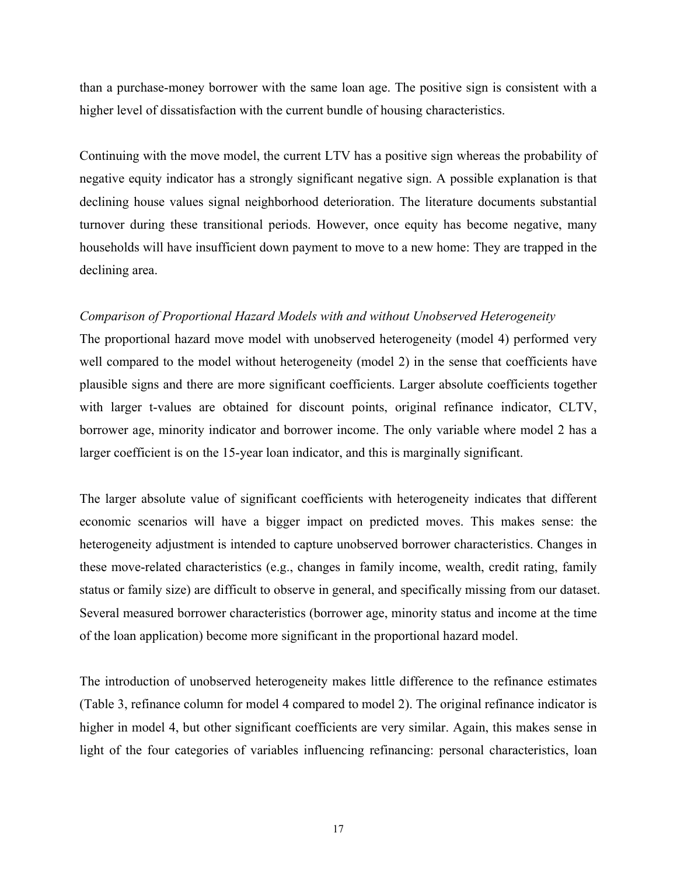than a purchase-money borrower with the same loan age. The positive sign is consistent with a higher level of dissatisfaction with the current bundle of housing characteristics.

Continuing with the move model, the current LTV has a positive sign whereas the probability of negative equity indicator has a strongly significant negative sign. A possible explanation is that declining house values signal neighborhood deterioration. The literature documents substantial turnover during these transitional periods. However, once equity has become negative, many households will have insufficient down payment to move to a new home: They are trapped in the declining area.

### *Comparison of Proportional Hazard Models with and without Unobserved Heterogeneity*

The proportional hazard move model with unobserved heterogeneity (model 4) performed very well compared to the model without heterogeneity (model 2) in the sense that coefficients have plausible signs and there are more significant coefficients. Larger absolute coefficients together with larger t-values are obtained for discount points, original refinance indicator, CLTV, borrower age, minority indicator and borrower income. The only variable where model 2 has a larger coefficient is on the 15-year loan indicator, and this is marginally significant.

The larger absolute value of significant coefficients with heterogeneity indicates that different economic scenarios will have a bigger impact on predicted moves. This makes sense: the heterogeneity adjustment is intended to capture unobserved borrower characteristics. Changes in these move-related characteristics (e.g., changes in family income, wealth, credit rating, family status or family size) are difficult to observe in general, and specifically missing from our dataset. Several measured borrower characteristics (borrower age, minority status and income at the time of the loan application) become more significant in the proportional hazard model.

The introduction of unobserved heterogeneity makes little difference to the refinance estimates (Table 3, refinance column for model 4 compared to model 2). The original refinance indicator is higher in model 4, but other significant coefficients are very similar. Again, this makes sense in light of the four categories of variables influencing refinancing: personal characteristics, loan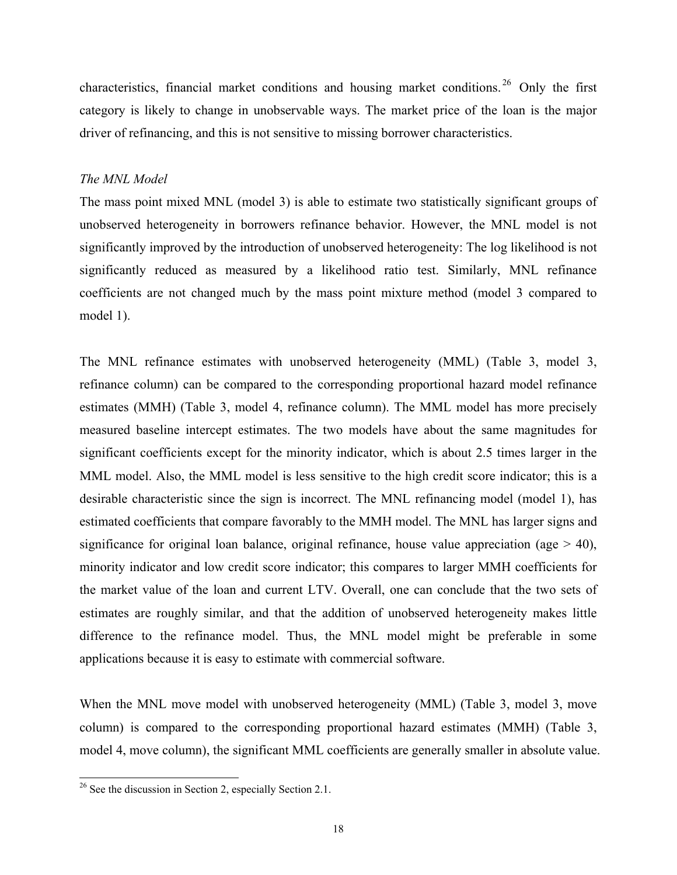characteristics, financial market conditions and housing market conditions. [26](#page-17-0) Only the first category is likely to change in unobservable ways. The market price of the loan is the major driver of refinancing, and this is not sensitive to missing borrower characteristics.

### *The MNL Model*

The mass point mixed MNL (model 3) is able to estimate two statistically significant groups of unobserved heterogeneity in borrowers refinance behavior. However, the MNL model is not significantly improved by the introduction of unobserved heterogeneity: The log likelihood is not significantly reduced as measured by a likelihood ratio test. Similarly, MNL refinance coefficients are not changed much by the mass point mixture method (model 3 compared to model 1).

The MNL refinance estimates with unobserved heterogeneity (MML) (Table 3, model 3, refinance column) can be compared to the corresponding proportional hazard model refinance estimates (MMH) (Table 3, model 4, refinance column). The MML model has more precisely measured baseline intercept estimates. The two models have about the same magnitudes for significant coefficients except for the minority indicator, which is about 2.5 times larger in the MML model. Also, the MML model is less sensitive to the high credit score indicator; this is a desirable characteristic since the sign is incorrect. The MNL refinancing model (model 1), has estimated coefficients that compare favorably to the MMH model. The MNL has larger signs and significance for original loan balance, original refinance, house value appreciation (age  $>$  40), minority indicator and low credit score indicator; this compares to larger MMH coefficients for the market value of the loan and current LTV. Overall, one can conclude that the two sets of estimates are roughly similar, and that the addition of unobserved heterogeneity makes little difference to the refinance model. Thus, the MNL model might be preferable in some applications because it is easy to estimate with commercial software.

When the MNL move model with unobserved heterogeneity (MML) (Table 3, model 3, move column) is compared to the corresponding proportional hazard estimates (MMH) (Table 3, model 4, move column), the significant MML coefficients are generally smaller in absolute value.

<span id="page-17-0"></span><sup>&</sup>lt;sup>26</sup> See the discussion in Section 2, especially Section 2.1.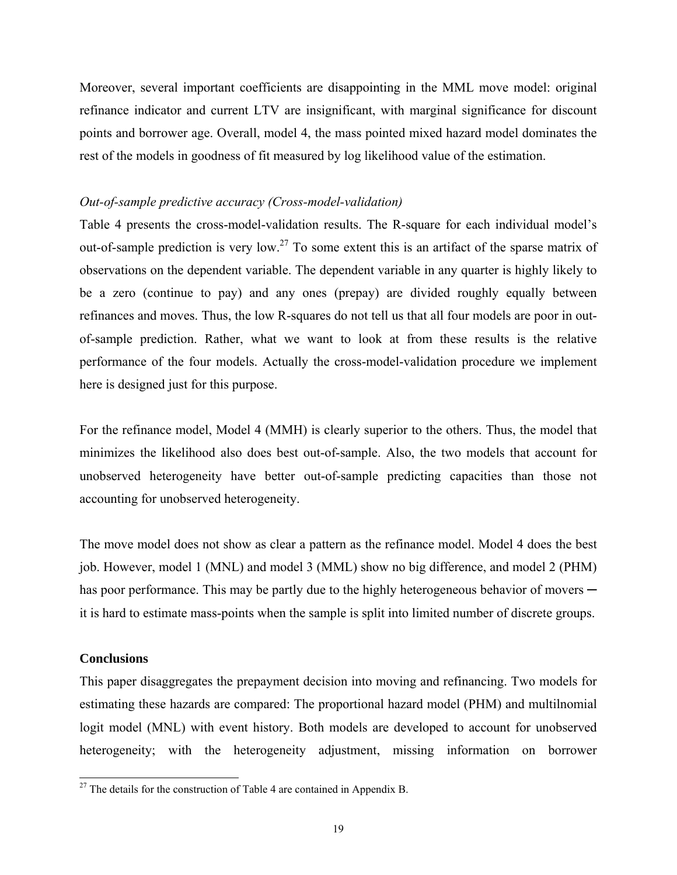Moreover, several important coefficients are disappointing in the MML move model: original refinance indicator and current LTV are insignificant, with marginal significance for discount points and borrower age. Overall, model 4, the mass pointed mixed hazard model dominates the rest of the models in goodness of fit measured by log likelihood value of the estimation.

### *Out-of-sample predictive accuracy (Cross-model-validation)*

Table 4 presents the cross-model-validation results. The R-square for each individual model's out-of-sample prediction is very low.<sup>27</sup> To some extent this is an artifact of the sparse matrix of observations on the dependent variable. The dependent variable in any quarter is highly likely to be a zero (continue to pay) and any ones (prepay) are divided roughly equally between refinances and moves. Thus, the low R-squares do not tell us that all four models are poor in outof-sample prediction. Rather, what we want to look at from these results is the relative performance of the four models. Actually the cross-model-validation procedure we implement here is designed just for this purpose.

For the refinance model, Model 4 (MMH) is clearly superior to the others. Thus, the model that minimizes the likelihood also does best out-of-sample. Also, the two models that account for unobserved heterogeneity have better out-of-sample predicting capacities than those not accounting for unobserved heterogeneity.

The move model does not show as clear a pattern as the refinance model. Model 4 does the best job. However, model 1 (MNL) and model 3 (MML) show no big difference, and model 2 (PHM) has poor performance. This may be partly due to the highly heterogeneous behavior of movers it is hard to estimate mass-points when the sample is split into limited number of discrete groups.

### **Conclusions**

This paper disaggregates the prepayment decision into moving and refinancing. Two models for estimating these hazards are compared: The proportional hazard model (PHM) and multilnomial logit model (MNL) with event history. Both models are developed to account for unobserved heterogeneity; with the heterogeneity adjustment, missing information on borrower

<span id="page-18-0"></span> $27$  The details for the construction of Table 4 are contained in Appendix B.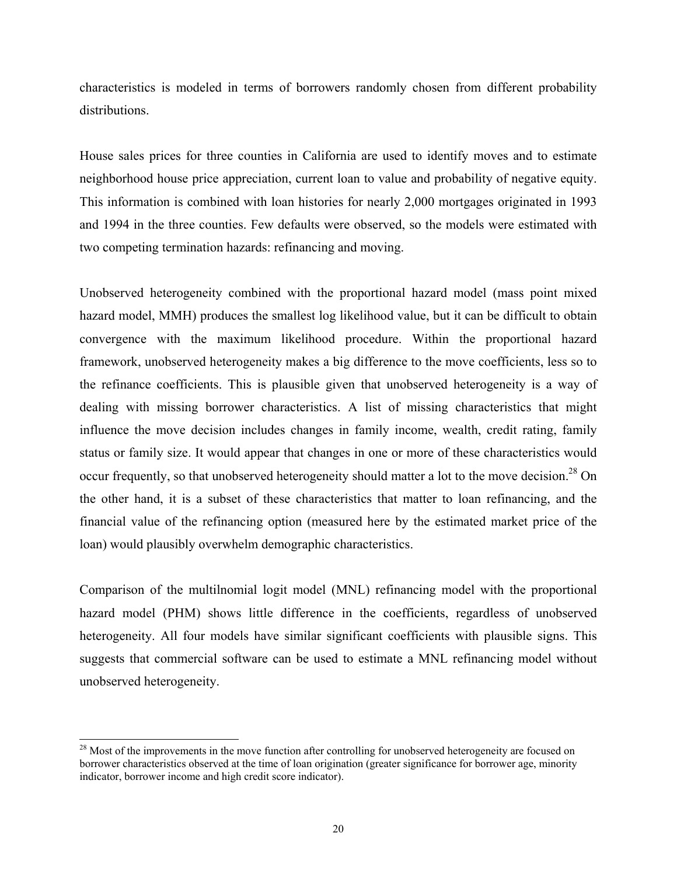characteristics is modeled in terms of borrowers randomly chosen from different probability distributions.

House sales prices for three counties in California are used to identify moves and to estimate neighborhood house price appreciation, current loan to value and probability of negative equity. This information is combined with loan histories for nearly 2,000 mortgages originated in 1993 and 1994 in the three counties. Few defaults were observed, so the models were estimated with two competing termination hazards: refinancing and moving.

Unobserved heterogeneity combined with the proportional hazard model (mass point mixed hazard model, MMH) produces the smallest log likelihood value, but it can be difficult to obtain convergence with the maximum likelihood procedure. Within the proportional hazard framework, unobserved heterogeneity makes a big difference to the move coefficients, less so to the refinance coefficients. This is plausible given that unobserved heterogeneity is a way of dealing with missing borrower characteristics. A list of missing characteristics that might influence the move decision includes changes in family income, wealth, credit rating, family status or family size. It would appear that changes in one or more of these characteristics would occur frequently, so that unobserved heterogeneity should matter a lot to the move decision.<sup>28</sup> On the other hand, it is a subset of these characteristics that matter to loan refinancing, and the financial value of the refinancing option (measured here by the estimated market price of the loan) would plausibly overwhelm demographic characteristics.

Comparison of the multilnomial logit model (MNL) refinancing model with the proportional hazard model (PHM) shows little difference in the coefficients, regardless of unobserved heterogeneity. All four models have similar significant coefficients with plausible signs. This suggests that commercial software can be used to estimate a MNL refinancing model without unobserved heterogeneity.

<span id="page-19-0"></span><sup>&</sup>lt;sup>28</sup> Most of the improvements in the move function after controlling for unobserved heterogeneity are focused on borrower characteristics observed at the time of loan origination (greater significance for borrower age, minority indicator, borrower income and high credit score indicator).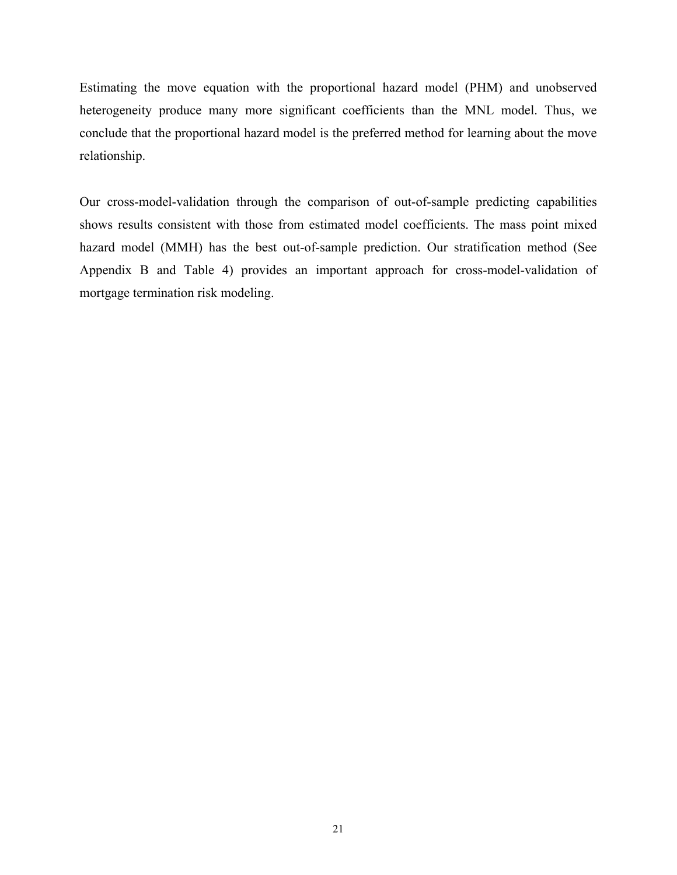Estimating the move equation with the proportional hazard model (PHM) and unobserved heterogeneity produce many more significant coefficients than the MNL model. Thus, we conclude that the proportional hazard model is the preferred method for learning about the move relationship.

Our cross-model-validation through the comparison of out-of-sample predicting capabilities shows results consistent with those from estimated model coefficients. The mass point mixed hazard model (MMH) has the best out-of-sample prediction. Our stratification method (See Appendix B and Table 4) provides an important approach for cross-model-validation of mortgage termination risk modeling.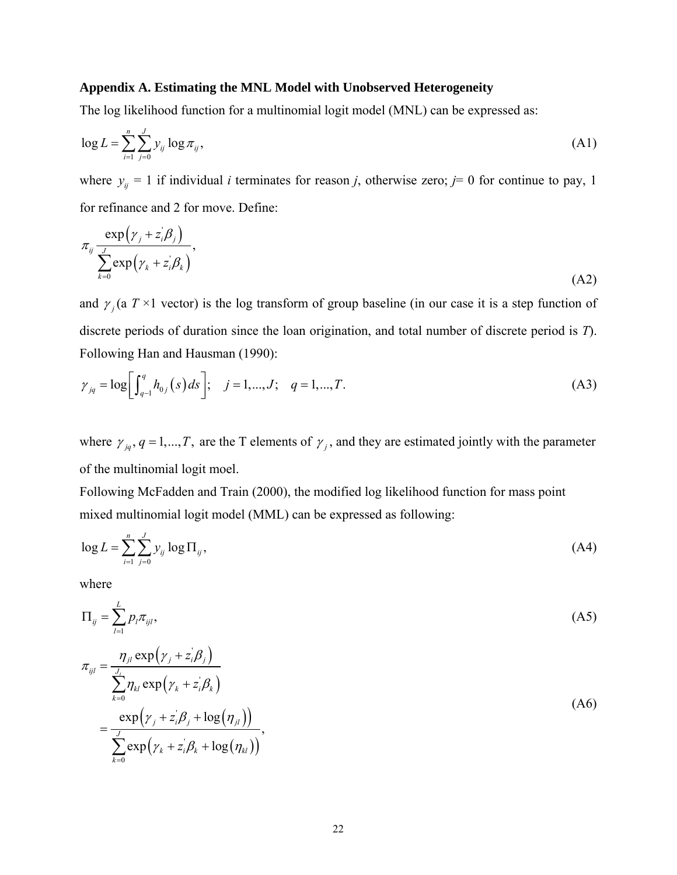### **Appendix A. Estimating the MNL Model with Unobserved Heterogeneity**

The log likelihood function for a multinomial logit model (MNL) can be expressed as:

$$
\log L = \sum_{i=1}^{n} \sum_{j=0}^{J} y_{ij} \log \pi_{ij},\tag{A1}
$$

where  $y_{ij} = 1$  if individual *i* terminates for reason *j*, otherwise zero; *j*= 0 for continue to pay, 1 for refinance and 2 for move. Define:

$$
\pi_{ij} \frac{\exp(y_j + z_i'\beta_j)}{\sum_{k=0}^{J} \exp(y_k + z_i'\beta_k)},
$$
\n(A2)

and  $\gamma_i$  (a  $T \times 1$  vector) is the log transform of group baseline (in our case it is a step function of discrete periods of duration since the loan origination, and total number of discrete period is *T*). Following Han and Hausman (1990):

$$
\gamma_{jq} = \log \left[ \int_{q-1}^{q} h_{0j}(s) \, ds \right]; \quad j = 1, \dots, J; \quad q = 1, \dots, T. \tag{A3}
$$

where  $\gamma_{jq}$ ,  $q = 1,..., T$ , are the T elements of  $\gamma_j$ , and they are estimated jointly with the parameter of the multinomial logit moel.

Following McFadden and Train (2000), the modified log likelihood function for mass point mixed multinomial logit model (MML) can be expressed as following:

$$
\log L = \sum_{i=1}^{n} \sum_{j=0}^{J} y_{ij} \log \Pi_{ij},\tag{A4}
$$

where

$$
\Pi_{ij} = \sum_{l=1}^{L} p_l \pi_{ijl},
$$
\n(A5)

$$
\pi_{ijl} = \frac{\eta_{jl} \exp(\gamma_j + z_i'\beta_j)}{\sum_{k=0}^{J_i} \eta_{kl} \exp(\gamma_k + z_i'\beta_k)}
$$
\n
$$
= \frac{\exp(\gamma_j + z_i'\beta_j + \log(\eta_{jl}))}{\sum_{k=0}^{J} \exp(\gamma_k + z_i'\beta_k + \log(\eta_{kl}))},
$$
\n(A6)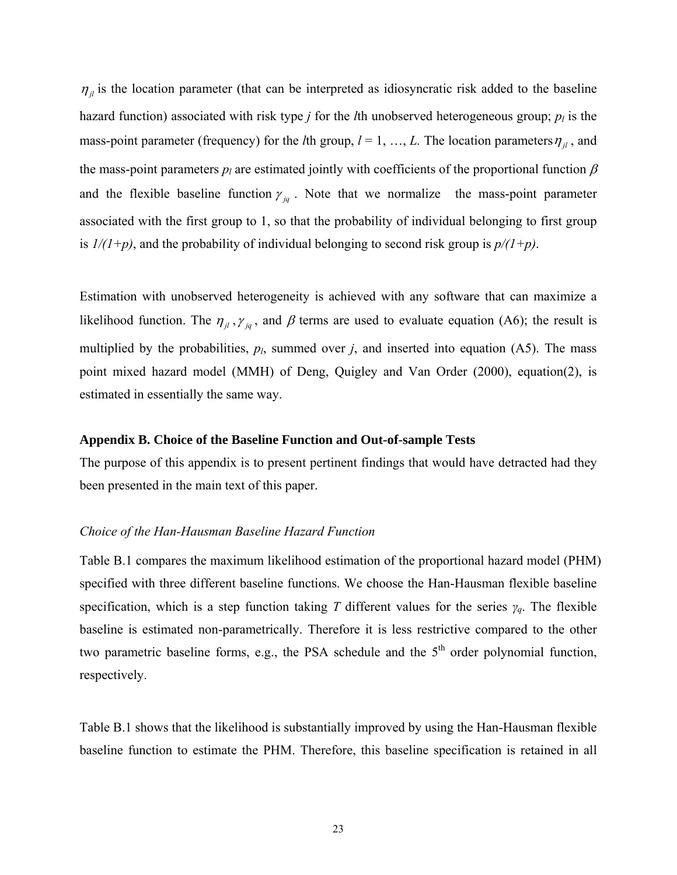$\eta_{jl}$  is the location parameter (that can be interpreted as idiosyncratic risk added to the baseline hazard function) associated with risk type *j* for the *l*th unobserved heterogeneous group;  $p_l$  is the mass-point parameter (frequency) for the *l*th group,  $l = 1, ..., L$ . The location parameters  $\eta_{il}$ , and the mass-point parameters  $p_l$  are estimated jointly with coefficients of the proportional function  $\beta$ and the flexible baseline function  $\gamma_{iq}$ . Note that we normalize the mass-point parameter associated with the first group to 1, so that the probability of individual belonging to first group is  $1/(1+p)$ , and the probability of individual belonging to second risk group is  $p/(1+p)$ .

Estimation with unobserved heterogeneity is achieved with any software that can maximize a likelihood function. The  $\eta_{jl}$ ,  $\gamma_{jq}$ , and  $\beta$  terms are used to evaluate equation (A6); the result is multiplied by the probabilities,  $p_l$ , summed over *j*, and inserted into equation (A5). The mass point mixed hazard model (MMH) of Deng, Quigley and Van Order (2000), equatio[n\(2\),](#page-10-0) is estimated in essentially the same way.

### **Appendix B. Choice of the Baseline Function and Out-of-sample Tests**

The purpose of this appendix is to present pertinent findings that would have detracted had they been presented in the main text of this paper.

### *Choice of the Han-Hausman Baseline Hazard Function*

Table B.1 compares the maximum likelihood estimation of the proportional hazard model (PHM) specified with three different baseline functions. We choose the Han-Hausman flexible baseline specification, which is a step function taking *T* different values for the series *γq*. The flexible baseline is estimated non-parametrically. Therefore it is less restrictive compared to the other two parametric baseline forms, e.g., the PSA schedule and the  $5<sup>th</sup>$  order polynomial function, respectively.

Table B.1 shows that the likelihood is substantially improved by using the Han-Hausman flexible baseline function to estimate the PHM. Therefore, this baseline specification is retained in all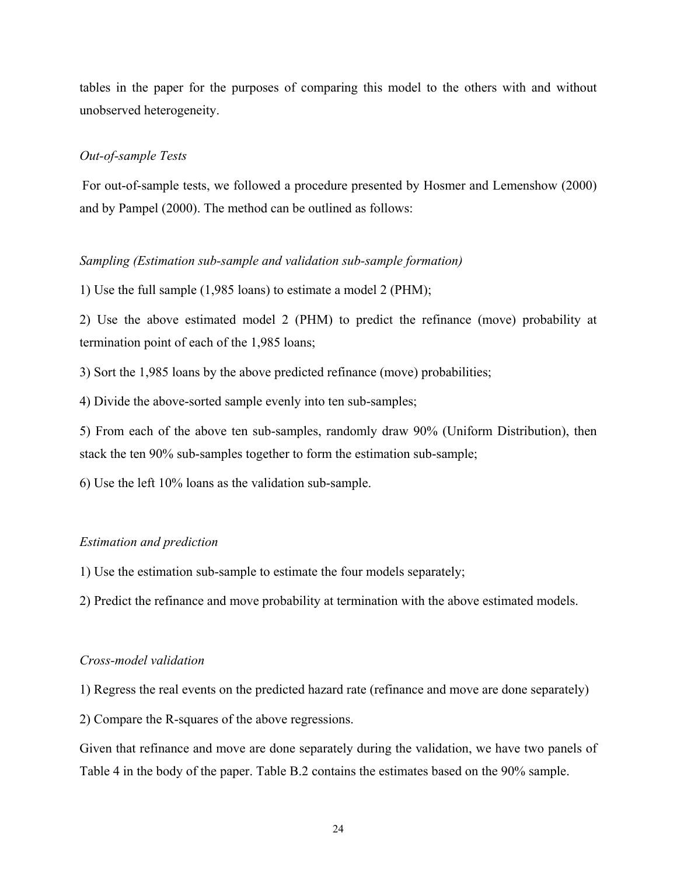tables in the paper for the purposes of comparing this model to the others with and without unobserved heterogeneity.

#### *Out-of-sample Tests*

For out-of-sample tests, we followed a procedure presented by Hosmer and Lemenshow (2000) and by Pampel (2000). The method can be outlined as follows:

### *Sampling (Estimation sub-sample and validation sub-sample formation)*

1) Use the full sample (1,985 loans) to estimate a model 2 (PHM);

2) Use the above estimated model 2 (PHM) to predict the refinance (move) probability at termination point of each of the 1,985 loans;

3) Sort the 1,985 loans by the above predicted refinance (move) probabilities;

4) Divide the above-sorted sample evenly into ten sub-samples;

5) From each of the above ten sub-samples, randomly draw 90% (Uniform Distribution), then stack the ten 90% sub-samples together to form the estimation sub-sample;

6) Use the left 10% loans as the validation sub-sample.

#### *Estimation and prediction*

1) Use the estimation sub-sample to estimate the four models separately;

2) Predict the refinance and move probability at termination with the above estimated models.

#### *Cross-model validation*

1) Regress the real events on the predicted hazard rate (refinance and move are done separately)

2) Compare the R-squares of the above regressions.

Given that refinance and move are done separately during the validation, we have two panels of Table 4 in the body of the paper. Table B.2 contains the estimates based on the 90% sample.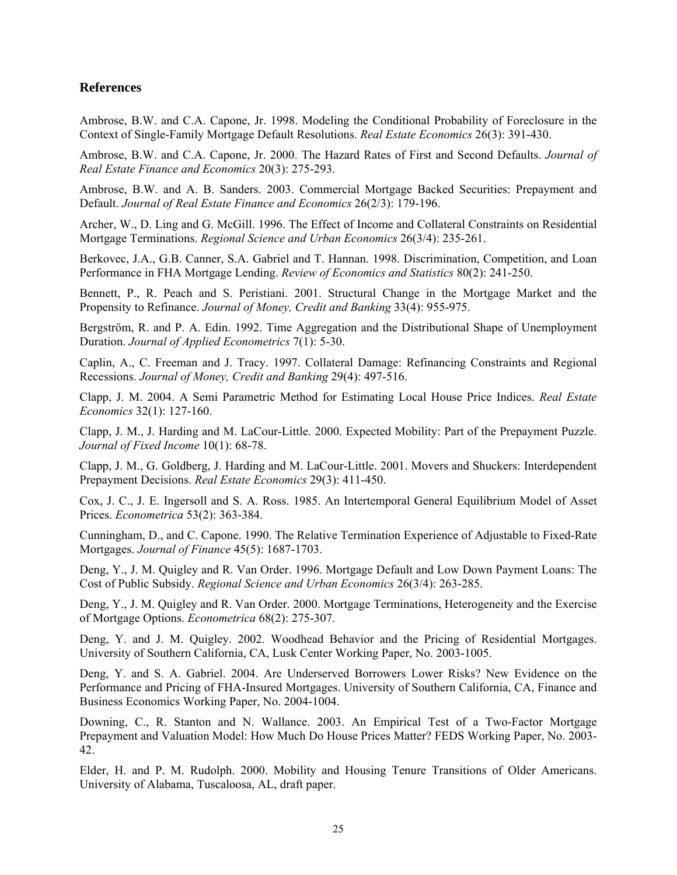### **References**

Ambrose, B.W. and C.A. Capone, Jr. 1998. Modeling the Conditional Probability of Foreclosure in the Context of Single-Family Mortgage Default Resolutions. *Real Estate Economics* 26(3): 391-430.

Ambrose, B.W. and C.A. Capone, Jr. 2000. The Hazard Rates of First and Second Defaults. *Journal of Real Estate Finance and Economics* 20(3): 275-293.

Ambrose, B.W. and A. B. Sanders. 2003. Commercial Mortgage Backed Securities: Prepayment and Default. *Journal of Real Estate Finance and Economics* 26(2/3): 179-196.

Archer, W., D. Ling and G. McGill. 1996. The Effect of Income and Collateral Constraints on Residential Mortgage Terminations. *Regional Science and Urban Economics* 26(3/4): 235-261.

Berkovec, J.A., G.B. Canner, S.A. Gabriel and T. Hannan. 1998. Discrimination, Competition, and Loan Performance in FHA Mortgage Lending. *Review of Economics and Statistics* 80(2): 241-250.

Bennett, P., R. Peach and S. Peristiani. 2001. Structural Change in the Mortgage Market and the Propensity to Refinance. *Journal of Money, Credit and Banking* 33(4): 955-975.

Bergström, R. and P. A. Edin. 1992. Time Aggregation and the Distributional Shape of Unemployment Duration. *Journal of Applied Econometrics* 7(1): 5-30.

Caplin, A., C. Freeman and J. Tracy. 1997. Collateral Damage: Refinancing Constraints and Regional Recessions. *Journal of Money, Credit and Banking* 29(4): 497-516.

Clapp, J. M. 2004. A Semi Parametric Method for Estimating Local House Price Indices. *Real Estate Economics* 32(1): 127-160.

Clapp, J. M., J. Harding and M. LaCour-Little. 2000. Expected Mobility: Part of the Prepayment Puzzle. *Journal of Fixed Income* 10(1): 68-78.

Clapp, J. M., G. Goldberg, J. Harding and M. LaCour-Little. 2001. Movers and Shuckers: Interdependent Prepayment Decisions. *Real Estate Economics* 29(3): 411-450.

Cox, J. C., J. E. Ingersoll and S. A. Ross. 1985. An Intertemporal General Equilibrium Model of Asset Prices. *Econometrica* 53(2): 363-384.

Cunningham, D., and C. Capone. 1990. The Relative Termination Experience of Adjustable to Fixed-Rate Mortgages. *Journal of Finance* 45(5): 1687-1703.

Deng, Y., J. M. Quigley and R. Van Order. 1996. Mortgage Default and Low Down Payment Loans: The Cost of Public Subsidy. *Regional Science and Urban Economics* 26(3/4): 263-285.

Deng, Y., J. M. Quigley and R. Van Order. 2000. Mortgage Terminations, Heterogeneity and the Exercise of Mortgage Options. *Econometrica* 68(2): 275-307.

Deng, Y. and J. M. Quigley. 2002. Woodhead Behavior and the Pricing of Residential Mortgages. University of Southern California, CA, Lusk Center Working Paper, No. 2003-1005.

Deng, Y. and S. A. Gabriel. 2004. Are Underserved Borrowers Lower Risks? New Evidence on the Performance and Pricing of FHA-Insured Mortgages. University of Southern California, CA, Finance and Business Economics Working Paper, No. 2004-1004.

Downing, C., R. Stanton and N. Wallance. 2003. An Empirical Test of a Two-Factor Mortgage Prepayment and Valuation Model: How Much Do House Prices Matter? FEDS Working Paper, No. 2003- 42.

Elder, H. and P. M. Rudolph. 2000. Mobility and Housing Tenure Transitions of Older Americans. University of Alabama, Tuscaloosa, AL, draft paper.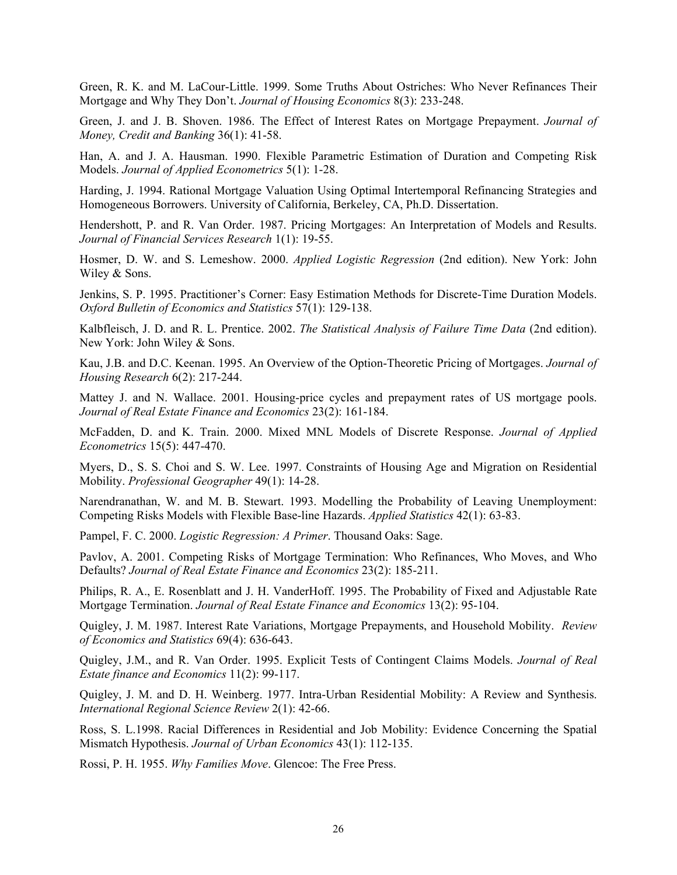Green, R. K. and M. LaCour-Little. 1999. Some Truths About Ostriches: Who Never Refinances Their Mortgage and Why They Don't. *Journal of Housing Economics* 8(3): 233-248.

Green, J. and J. B. Shoven. 1986. The Effect of Interest Rates on Mortgage Prepayment. *Journal of Money, Credit and Banking* 36(1): 41-58.

Han, A. and J. A. Hausman. 1990. Flexible Parametric Estimation of Duration and Competing Risk Models. *Journal of Applied Econometrics* 5(1): 1-28.

Harding, J. 1994. Rational Mortgage Valuation Using Optimal Intertemporal Refinancing Strategies and Homogeneous Borrowers. University of California, Berkeley, CA, Ph.D. Dissertation.

Hendershott, P. and R. Van Order. 1987. Pricing Mortgages: An Interpretation of Models and Results. *Journal of Financial Services Research* 1(1): 19-55.

[Hosmer,](http://www.amazon.com/exec/obidos/search-handle-url/index=books&field-author=Hosmer%2C David W./102-2610598-2927318) D. W. and S. Lemeshow. 2000. *Applied Logistic Regression* (2nd edition). New York: John Wiley & Sons.

Jenkins, S. P. 1995. Practitioner's Corner: Easy Estimation Methods for Discrete-Time Duration Models. *Oxford Bulletin of Economics and Statistics* 57(1): 129-138.

Kalbfleisch, J. D. and R. L. Prentice. 2002. *The Statistical Analysis of Failure Time Data* (2nd edition). New York: John Wiley & Sons.

Kau, J.B. and D.C. Keenan. 1995. An Overview of the Option-Theoretic Pricing of Mortgages. *Journal of Housing Research* 6(2): 217-244.

Mattey J. and N. Wallace. 2001. Housing-price cycles and prepayment rates of US mortgage pools. *Journal of Real Estate Finance and Economics* 23(2): 161-184.

McFadden, D. and K. Train. 2000. Mixed MNL Models of Discrete Response. *Journal of Applied Econometrics* 15(5): 447-470.

Myers, D., S. S. Choi and S. W. Lee. 1997. Constraints of Housing Age and Migration on Residential Mobility. *Professional Geographer* 49(1): 14-28.

Narendranathan, W. and M. B. Stewart. 1993. Modelling the Probability of Leaving Unemployment: Competing Risks Models with Flexible Base-line Hazards. *Applied Statistics* 42(1): 63-83.

Pampel, F. C. 2000. *Logistic Regression: A Primer*. Thousand Oaks: Sage.

Pavlov, A. 2001. Competing Risks of Mortgage Termination: Who Refinances, Who Moves, and Who Defaults? *Journal of Real Estate Finance and Economics* 23(2): 185-211.

Philips, R. A., E. Rosenblatt and J. H. VanderHoff. 1995. The Probability of Fixed and Adjustable Rate Mortgage Termination. *Journal of Real Estate Finance and Economics* 13(2): 95-104.

Quigley, J. M. 1987. Interest Rate Variations, Mortgage Prepayments, and Household Mobility. *Review of Economics and Statistics* 69(4): 636-643.

Quigley, J.M., and R. Van Order. 1995. Explicit Tests of Contingent Claims Models. *Journal of Real Estate finance and Economics* 11(2): 99-117.

Quigley, J. M. and D. H. Weinberg. 1977. Intra-Urban Residential Mobility: A Review and Synthesis. *International Regional Science Review* 2(1): 42-66.

Ross, S. L.1998. Racial Differences in Residential and Job Mobility: Evidence Concerning the Spatial Mismatch Hypothesis. *Journal of Urban Economics* 43(1): 112-135.

Rossi, P. H. 1955. *Why Families Move*. Glencoe: The Free Press.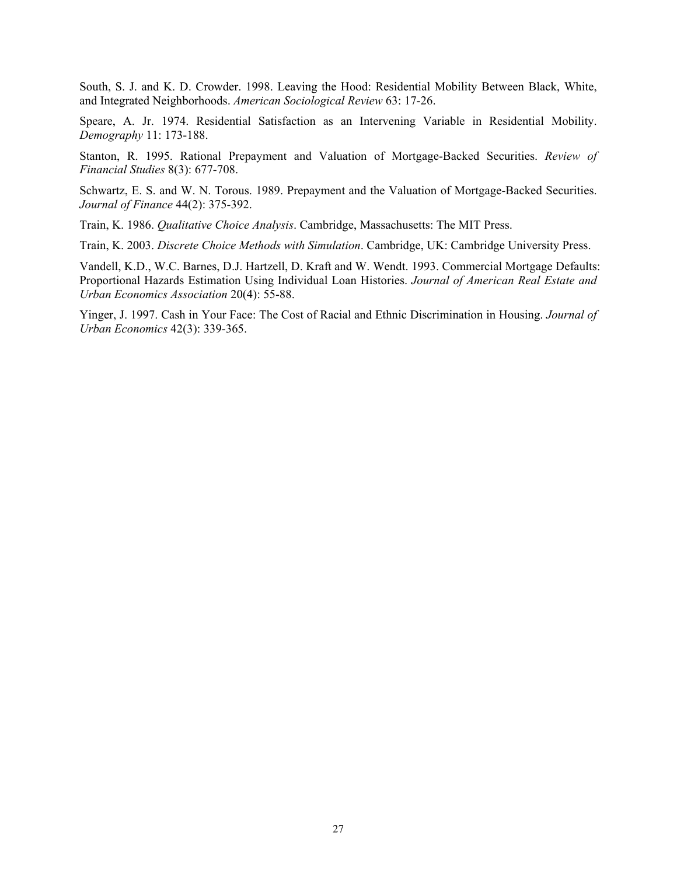South, S. J. and K. D. Crowder. 1998. Leaving the Hood: Residential Mobility Between Black, White, and Integrated Neighborhoods. *American Sociological Review* 63: 17-26.

Speare, A. Jr. 1974. Residential Satisfaction as an Intervening Variable in Residential Mobility. *Demography* 11: 173-188.

Stanton, R. 1995. Rational Prepayment and Valuation of Mortgage-Backed Securities. *Review of Financial Studies* 8(3): 677-708.

Schwartz, E. S. and W. N. Torous. 1989. Prepayment and the Valuation of Mortgage-Backed Securities. *Journal of Finance* 44(2): 375-392.

Train, K. 1986. *Qualitative Choice Analysis*. Cambridge, Massachusetts: The MIT Press.

Train, K. 2003. *Discrete Choice Methods with Simulation*. Cambridge, UK: Cambridge University Press.

Vandell, K.D., W.C. Barnes, D.J. Hartzell, D. Kraft and W. Wendt. 1993. Commercial Mortgage Defaults: Proportional Hazards Estimation Using Individual Loan Histories. *Journal of American Real Estate and Urban Economics Association* 20(4): 55-88.

Yinger, J. 1997. Cash in Your Face: The Cost of Racial and Ethnic Discrimination in Housing. *Journal of Urban Economics* 42(3): 339-365.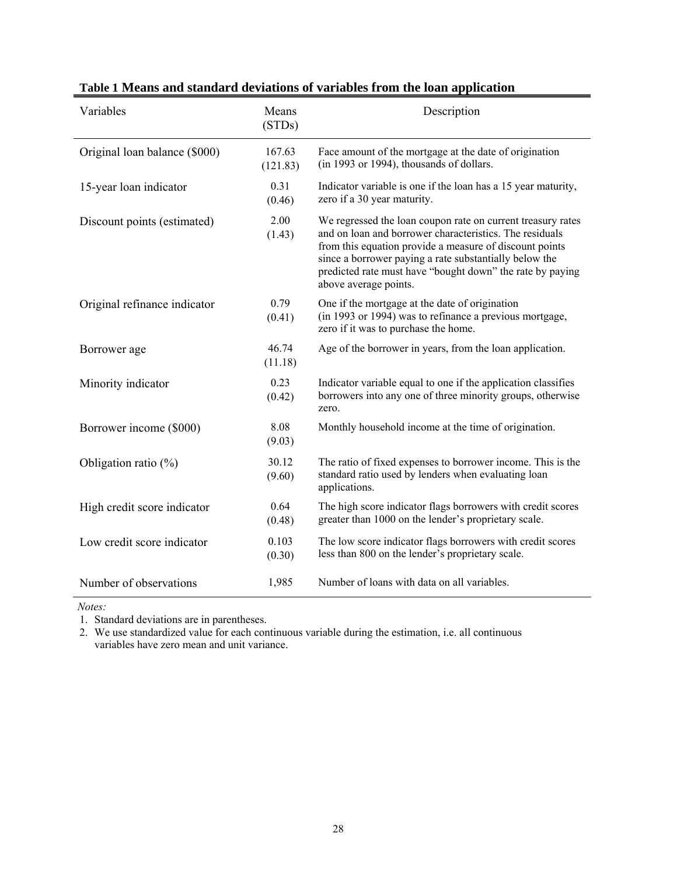| Variables                     | Means<br>(STDs)    | Description                                                                                                                                                                                                                                                                                                                       |
|-------------------------------|--------------------|-----------------------------------------------------------------------------------------------------------------------------------------------------------------------------------------------------------------------------------------------------------------------------------------------------------------------------------|
| Original loan balance (\$000) | 167.63<br>(121.83) | Face amount of the mortgage at the date of origination<br>(in 1993 or 1994), thousands of dollars.                                                                                                                                                                                                                                |
| 15-year loan indicator        | 0.31<br>(0.46)     | Indicator variable is one if the loan has a 15 year maturity,<br>zero if a 30 year maturity.                                                                                                                                                                                                                                      |
| Discount points (estimated)   | 2.00<br>(1.43)     | We regressed the loan coupon rate on current treasury rates<br>and on loan and borrower characteristics. The residuals<br>from this equation provide a measure of discount points<br>since a borrower paying a rate substantially below the<br>predicted rate must have "bought down" the rate by paying<br>above average points. |
| Original refinance indicator  | 0.79<br>(0.41)     | One if the mortgage at the date of origination<br>(in 1993 or 1994) was to refinance a previous mortgage,<br>zero if it was to purchase the home.                                                                                                                                                                                 |
| Borrower age                  | 46.74<br>(11.18)   | Age of the borrower in years, from the loan application.                                                                                                                                                                                                                                                                          |
| Minority indicator            | 0.23<br>(0.42)     | Indicator variable equal to one if the application classifies<br>borrowers into any one of three minority groups, otherwise<br>zero.                                                                                                                                                                                              |
| Borrower income (\$000)       | 8.08<br>(9.03)     | Monthly household income at the time of origination.                                                                                                                                                                                                                                                                              |
| Obligation ratio $(\%)$       | 30.12<br>(9.60)    | The ratio of fixed expenses to borrower income. This is the<br>standard ratio used by lenders when evaluating loan<br>applications.                                                                                                                                                                                               |
| High credit score indicator   | 0.64<br>(0.48)     | The high score indicator flags borrowers with credit scores<br>greater than 1000 on the lender's proprietary scale.                                                                                                                                                                                                               |
| Low credit score indicator    | 0.103<br>(0.30)    | The low score indicator flags borrowers with credit scores<br>less than 800 on the lender's proprietary scale.                                                                                                                                                                                                                    |
| Number of observations        | 1,985              | Number of loans with data on all variables.                                                                                                                                                                                                                                                                                       |

**Table 1 Means and standard deviations of variables from the loan application** 

 *Notes:* 

1. Standard deviations are in parentheses.

2. We use standardized value for each continuous variable during the estimation, i.e. all continuous variables have zero mean and unit variance.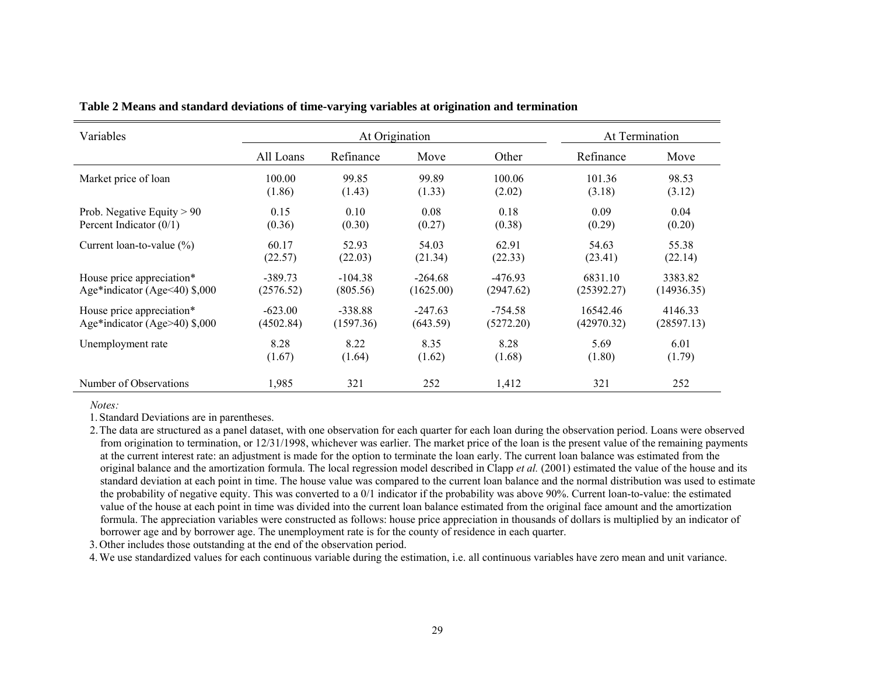| Variables                            |           |           | At Origination |           |            | At Termination |
|--------------------------------------|-----------|-----------|----------------|-----------|------------|----------------|
|                                      | All Loans | Refinance | Move           | Other     | Refinance  | Move           |
| Market price of loan                 | 100.00    | 99.85     | 99.89          | 100.06    | 101.36     | 98.53          |
|                                      | (1.86)    | (1.43)    | (1.33)         | (2.02)    | (3.18)     | (3.12)         |
| Prob. Negative Equity $> 90$         | 0.15      | 0.10      | 0.08           | 0.18      | 0.09       | 0.04           |
| Percent Indicator $(0/1)$            | (0.36)    | (0.30)    | (0.27)         | (0.38)    | (0.29)     | (0.20)         |
| Current loan-to-value $(\%)$         | 60.17     | 52.93     | 54.03          | 62.91     | 54.63      | 55.38          |
|                                      | (22.57)   | (22.03)   | (21.34)        | (22.33)   | (23.41)    | (22.14)        |
| House price appreciation*            | $-389.73$ | $-104.38$ | $-264.68$      | $-476.93$ | 6831.10    | 3383.82        |
| Age*indicator (Age $\leq$ 40) \$,000 | (2576.52) | (805.56)  | (1625.00)      | (2947.62) | (25392.27) | (14936.35)     |
| House price appreciation*            | $-623.00$ | $-338.88$ | $-247.63$      | $-754.58$ | 16542.46   | 4146.33        |
| Age*indicator (Age>40) $$,000$       | (4502.84) | (1597.36) | (643.59)       | (5272.20) | (42970.32) | (28597.13)     |
| Unemployment rate                    | 8.28      | 8.22      | 8.35           | 8.28      | 5.69       | 6.01           |
|                                      | (1.67)    | (1.64)    | (1.62)         | (1.68)    | (1.80)     | (1.79)         |
| Number of Observations               | 1,985     | 321       | 252            | 1,412     | 321        | 252            |

**Table 2 Means and standard deviations of time-varying variables at origination and termination**

*Notes:* 

1. Standard Deviations are in parentheses.

2.The data are structured as a panel dataset, with one observation for each quarter for each loan during the observation period. Loans were observed from origination to termination, or 12/31/1998, whichever was earlier. The market price of the loan is the present value of the remaining payments at the current interest rate: an adjustment is made for the option to terminate the loan early. The current loan balance was estimated from the original balance and the amortization formula. The local regression model described in Clapp *et al.* (2001) estimated the value of the house and its standard deviation at each point in time. The house value was compared to the current loan balance and the normal distribution was used to estimate the probability of negative equity. This was converted to a 0/1 indicator if the probability was above 90%. Current loan-to-value: the estimated value of the house at each point in time was divided into the current loan balance estimated from the original face amount and the amortization formula. The appreciation variables were constructed as follows: house price appreciation in thousands of dollars is multiplied by an indicator of borrower age and by borrower age. The unemployment rate is for the county of residence in each quarter.

3. Other includes those outstanding at the end of the observation period.

4.We use standardized values for each continuous variable during the estimation, i.e. all continuous variables have zero mean and unit variance.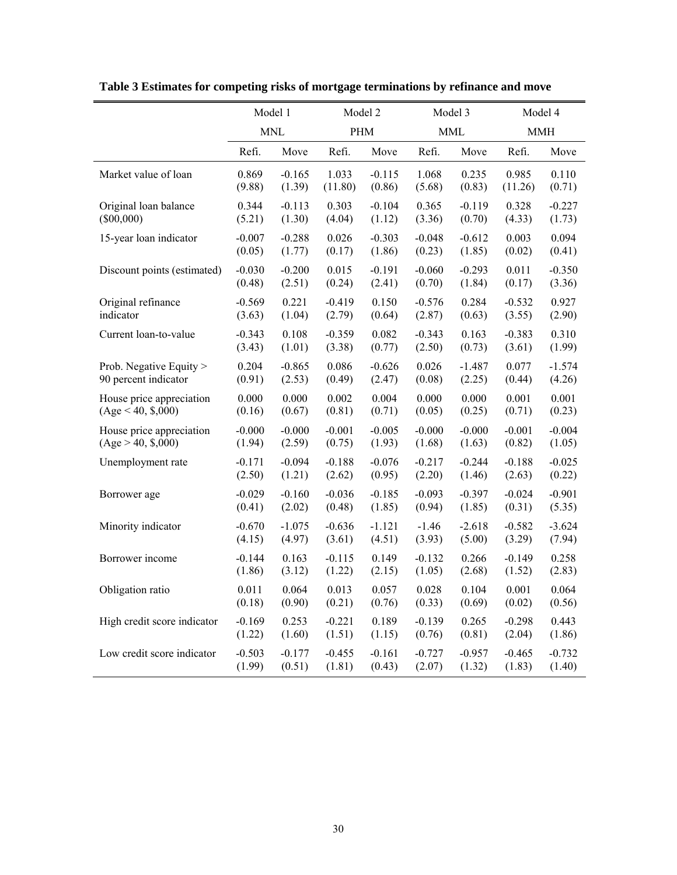|                             | Model 1  |            |            | Model 2  |          | Model 3    |            | Model 4  |
|-----------------------------|----------|------------|------------|----------|----------|------------|------------|----------|
|                             |          | <b>MNL</b> | <b>PHM</b> |          |          | <b>MML</b> | <b>MMH</b> |          |
|                             | Refi.    | Move       | Refi.      | Move     | Refi.    | Move       | Refi.      | Move     |
| Market value of loan        | 0.869    | $-0.165$   | 1.033      | $-0.115$ | 1.068    | 0.235      | 0.985      | 0.110    |
|                             | (9.88)   | (1.39)     | (11.80)    | (0.86)   | (5.68)   | (0.83)     | (11.26)    | (0.71)   |
| Original loan balance       | 0.344    | $-0.113$   | 0.303      | $-0.104$ | 0.365    | $-0.119$   | 0.328      | $-0.227$ |
| $(\$00,000)$                | (5.21)   | (1.30)     | (4.04)     | (1.12)   | (3.36)   | (0.70)     | (4.33)     | (1.73)   |
| 15-year loan indicator      | $-0.007$ | $-0.288$   | 0.026      | $-0.303$ | $-0.048$ | $-0.612$   | 0.003      | 0.094    |
|                             | (0.05)   | (1.77)     | (0.17)     | (1.86)   | (0.23)   | (1.85)     | (0.02)     | (0.41)   |
| Discount points (estimated) | $-0.030$ | $-0.200$   | 0.015      | $-0.191$ | $-0.060$ | $-0.293$   | 0.011      | $-0.350$ |
|                             | (0.48)   | (2.51)     | (0.24)     | (2.41)   | (0.70)   | (1.84)     | (0.17)     | (3.36)   |
| Original refinance          | $-0.569$ | 0.221      | $-0.419$   | 0.150    | $-0.576$ | 0.284      | $-0.532$   | 0.927    |
| indicator                   | (3.63)   | (1.04)     | (2.79)     | (0.64)   | (2.87)   | (0.63)     | (3.55)     | (2.90)   |
| Current loan-to-value       | $-0.343$ | 0.108      | $-0.359$   | 0.082    | $-0.343$ | 0.163      | $-0.383$   | 0.310    |
|                             | (3.43)   | (1.01)     | (3.38)     | (0.77)   | (2.50)   | (0.73)     | (3.61)     | (1.99)   |
| Prob. Negative Equity >     | 0.204    | $-0.865$   | 0.086      | $-0.626$ | 0.026    | $-1.487$   | 0.077      | $-1.574$ |
| 90 percent indicator        | (0.91)   | (2.53)     | (0.49)     | (2.47)   | (0.08)   | (2.25)     | (0.44)     | (4.26)   |
| House price appreciation    | 0.000    | 0.000      | 0.002      | 0.004    | 0.000    | 0.000      | 0.001      | 0.001    |
| (Age < 40, \$,000)          | (0.16)   | (0.67)     | (0.81)     | (0.71)   | (0.05)   | (0.25)     | (0.71)     | (0.23)   |
| House price appreciation    | $-0.000$ | $-0.000$   | $-0.001$   | $-0.005$ | $-0.000$ | $-0.000$   | $-0.001$   | $-0.004$ |
| (Age > 40, \$,000)          | (1.94)   | (2.59)     | (0.75)     | (1.93)   | (1.68)   | (1.63)     | (0.82)     | (1.05)   |
| Unemployment rate           | $-0.171$ | $-0.094$   | $-0.188$   | $-0.076$ | $-0.217$ | $-0.244$   | $-0.188$   | $-0.025$ |
|                             | (2.50)   | (1.21)     | (2.62)     | (0.95)   | (2.20)   | (1.46)     | (2.63)     | (0.22)   |
| Borrower age                | $-0.029$ | $-0.160$   | $-0.036$   | $-0.185$ | $-0.093$ | $-0.397$   | $-0.024$   | $-0.901$ |
|                             | (0.41)   | (2.02)     | (0.48)     | (1.85)   | (0.94)   | (1.85)     | (0.31)     | (5.35)   |
| Minority indicator          | $-0.670$ | $-1.075$   | $-0.636$   | $-1.121$ | $-1.46$  | $-2.618$   | $-0.582$   | $-3.624$ |
|                             | (4.15)   | (4.97)     | (3.61)     | (4.51)   | (3.93)   | (5.00)     | (3.29)     | (7.94)   |
| Borrower income             | $-0.144$ | 0.163      | $-0.115$   | 0.149    | $-0.132$ | 0.266      | $-0.149$   | 0.258    |
|                             | (1.86)   | (3.12)     | (1.22)     | (2.15)   | (1.05)   | (2.68)     | (1.52)     | (2.83)   |
| Obligation ratio            | 0.011    | 0.064      | 0.013      | 0.057    | 0.028    | 0.104      | 0.001      | 0.064    |
|                             | (0.18)   | (0.90)     | (0.21)     | (0.76)   | (0.33)   | (0.69)     | (0.02)     | (0.56)   |
| High credit score indicator | $-0.169$ | 0.253      | $-0.221$   | 0.189    | $-0.139$ | 0.265      | $-0.298$   | 0.443    |
|                             | (1.22)   | (1.60)     | (1.51)     | (1.15)   | (0.76)   | (0.81)     | (2.04)     | (1.86)   |
| Low credit score indicator  | $-0.503$ | $-0.177$   | $-0.455$   | $-0.161$ | $-0.727$ | $-0.957$   | $-0.465$   | $-0.732$ |
|                             | (1.99)   | (0.51)     | (1.81)     | (0.43)   | (2.07)   | (1.32)     | (1.83)     | (1.40)   |

**Table 3 Estimates for competing risks of mortgage terminations by refinance and move**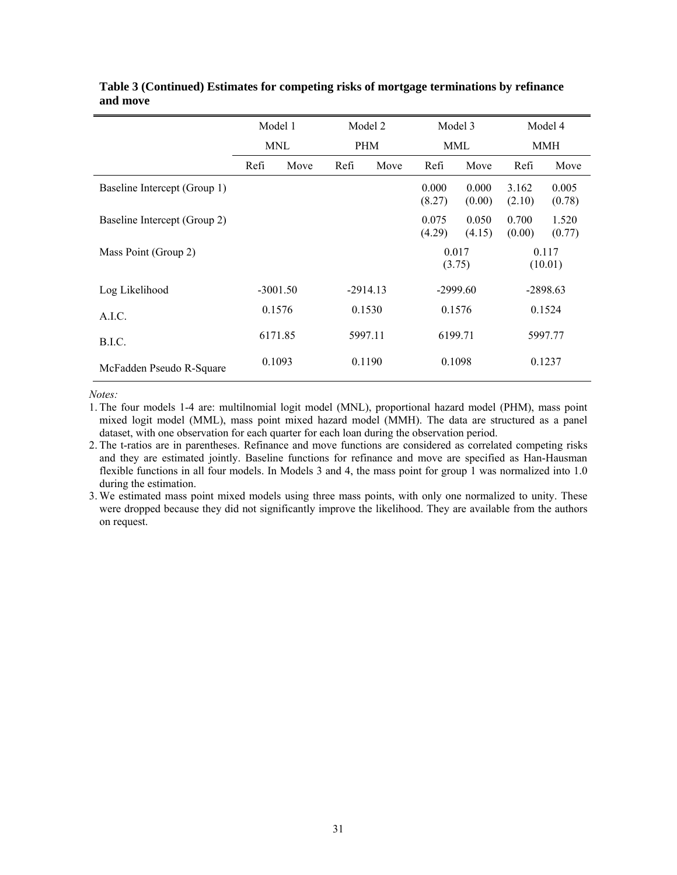|                              | Model 1 |            | Model 2    |            | Model 3         |                 | Model 4         |                  |  |
|------------------------------|---------|------------|------------|------------|-----------------|-----------------|-----------------|------------------|--|
|                              |         | <b>MNL</b> |            | <b>PHM</b> |                 | MML             |                 | MMH              |  |
|                              | Refi    | Move       | Refi       | Move       | Refi            | Move            | Refi            | Move             |  |
| Baseline Intercept (Group 1) |         |            |            |            | 0.000<br>(8.27) | 0.000<br>(0.00) | 3.162<br>(2.10) | 0.005<br>(0.78)  |  |
| Baseline Intercept (Group 2) |         |            |            |            | 0.075<br>(4.29) | 0.050<br>(4.15) | 0.700<br>(0.00) | 1.520<br>(0.77)  |  |
| Mass Point (Group 2)         |         |            |            |            | 0.017<br>(3.75) |                 |                 | 0.117<br>(10.01) |  |
| Log Likelihood               |         | $-3001.50$ | $-2914.13$ |            | $-2999.60$      |                 | $-2898.63$      |                  |  |
| A.I.C.                       | 0.1576  |            |            | 0.1530     |                 | 0.1576          |                 | 0.1524           |  |
| B.I.C.                       | 6171.85 |            |            | 5997.11    |                 | 6199.71         |                 | 5997.77          |  |
| McFadden Pseudo R-Square     |         | 0.1093     |            | 0.1190     | 0.1098          |                 |                 | 0.1237           |  |

#### **Table 3 (Continued) Estimates for competing risks of mortgage terminations by refinance and move**

*Notes:* 

1. The four models 1-4 are: multilnomial logit model (MNL), proportional hazard model (PHM), mass point mixed logit model (MML), mass point mixed hazard model (MMH). The data are structured as a panel dataset, with one observation for each quarter for each loan during the observation period.

2. The t-ratios are in parentheses. Refinance and move functions are considered as correlated competing risks and they are estimated jointly. Baseline functions for refinance and move are specified as Han-Hausman flexible functions in all four models. In Models 3 and 4, the mass point for group 1 was normalized into 1.0 during the estimation.

3. We estimated mass point mixed models using three mass points, with only one normalized to unity. These were dropped because they did not significantly improve the likelihood. They are available from the authors on request.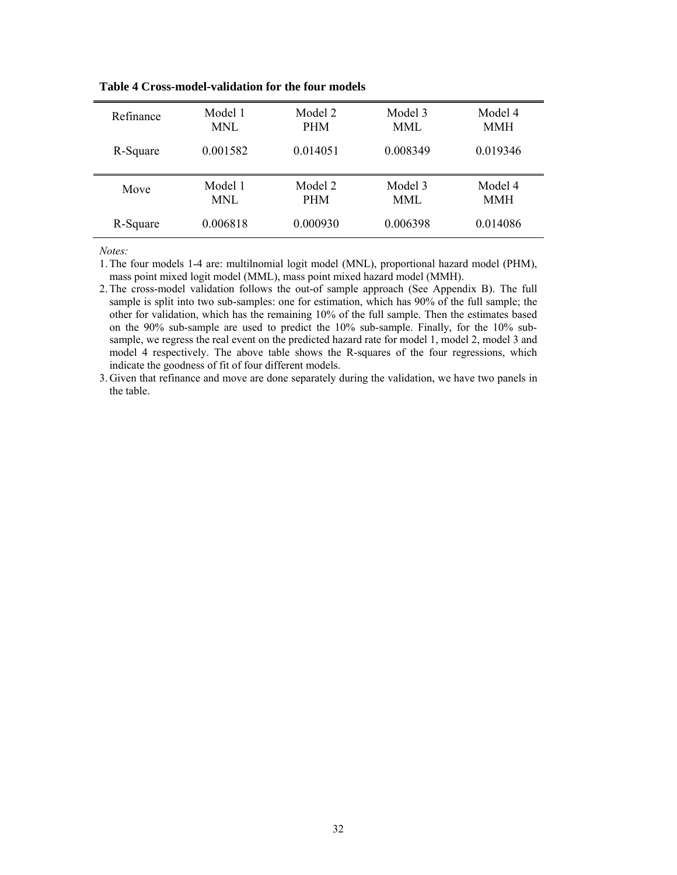| Refinance | Model 1    | Model 2    | Model 3  | Model 4    |
|-----------|------------|------------|----------|------------|
|           | <b>MNL</b> | <b>PHM</b> | MML      | <b>MMH</b> |
| R-Square  | 0.001582   | 0.014051   | 0.008349 | 0.019346   |
| Move      | Model 1    | Model 2    | Model 3  | Model 4    |
|           | MNL        | <b>PHM</b> | MML      | <b>MMH</b> |
| R-Square  | 0.006818   | 0.000930   | 0.006398 | 0.014086   |

**Table 4 Cross-model-validation for the four models**

*Notes:* 

1.The four models 1-4 are: multilnomial logit model (MNL), proportional hazard model (PHM), mass point mixed logit model (MML), mass point mixed hazard model (MMH).

2.The cross-model validation follows the out-of sample approach (See Appendix B). The full sample is split into two sub-samples: one for estimation, which has 90% of the full sample; the other for validation, which has the remaining 10% of the full sample. Then the estimates based on the 90% sub-sample are used to predict the 10% sub-sample. Finally, for the 10% subsample, we regress the real event on the predicted hazard rate for model 1, model 2, model 3 and model 4 respectively. The above table shows the R-squares of the four regressions, which indicate the goodness of fit of four different models.

3. Given that refinance and move are done separately during the validation, we have two panels in the table.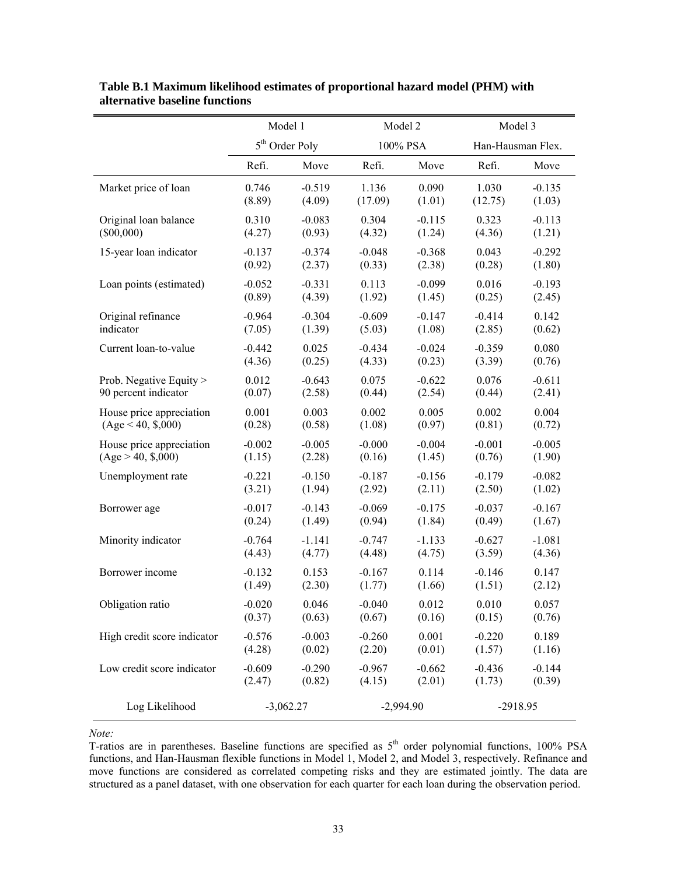|                             | Model 1     |                            | Model 2     |          | Model 3           |          |
|-----------------------------|-------------|----------------------------|-------------|----------|-------------------|----------|
|                             |             | 5 <sup>th</sup> Order Poly |             | 100% PSA | Han-Hausman Flex. |          |
|                             | Refi.       | Move                       | Refi.       | Move     | Refi.             | Move     |
| Market price of loan        | 0.746       | $-0.519$                   | 1.136       | 0.090    | 1.030             | $-0.135$ |
|                             | (8.89)      | (4.09)                     | (17.09)     | (1.01)   | (12.75)           | (1.03)   |
| Original loan balance       | 0.310       | $-0.083$                   | 0.304       | $-0.115$ | 0.323             | $-0.113$ |
| $(\$00,000)$                | (4.27)      | (0.93)                     | (4.32)      | (1.24)   | (4.36)            | (1.21)   |
| 15-year loan indicator      | $-0.137$    | $-0.374$                   | $-0.048$    | $-0.368$ | 0.043             | $-0.292$ |
|                             | (0.92)      | (2.37)                     | (0.33)      | (2.38)   | (0.28)            | (1.80)   |
| Loan points (estimated)     | $-0.052$    | $-0.331$                   | 0.113       | $-0.099$ | 0.016             | $-0.193$ |
|                             | (0.89)      | (4.39)                     | (1.92)      | (1.45)   | (0.25)            | (2.45)   |
| Original refinance          | $-0.964$    | $-0.304$                   | $-0.609$    | $-0.147$ | $-0.414$          | 0.142    |
| indicator                   | (7.05)      | (1.39)                     | (5.03)      | (1.08)   | (2.85)            | (0.62)   |
| Current loan-to-value       | $-0.442$    | 0.025                      | $-0.434$    | $-0.024$ | $-0.359$          | 0.080    |
|                             | (4.36)      | (0.25)                     | (4.33)      | (0.23)   | (3.39)            | (0.76)   |
| Prob. Negative Equity >     | 0.012       | $-0.643$                   | 0.075       | $-0.622$ | 0.076             | $-0.611$ |
| 90 percent indicator        | (0.07)      | (2.58)                     | (0.44)      | (2.54)   | (0.44)            | (2.41)   |
| House price appreciation    | 0.001       | 0.003                      | 0.002       | 0.005    | 0.002             | 0.004    |
| (Age < 40, \$,000)          | (0.28)      | (0.58)                     | (1.08)      | (0.97)   | (0.81)            | (0.72)   |
| House price appreciation    | $-0.002$    | $-0.005$                   | $-0.000$    | $-0.004$ | $-0.001$          | $-0.005$ |
| (Age > 40, \$,000)          | (1.15)      | (2.28)                     | (0.16)      | (1.45)   | (0.76)            | (1.90)   |
| Unemployment rate           | $-0.221$    | $-0.150$                   | $-0.187$    | $-0.156$ | $-0.179$          | $-0.082$ |
|                             | (3.21)      | (1.94)                     | (2.92)      | (2.11)   | (2.50)            | (1.02)   |
| Borrower age                | $-0.017$    | $-0.143$                   | $-0.069$    | $-0.175$ | $-0.037$          | $-0.167$ |
|                             | (0.24)      | (1.49)                     | (0.94)      | (1.84)   | (0.49)            | (1.67)   |
| Minority indicator          | $-0.764$    | $-1.141$                   | $-0.747$    | $-1.133$ | $-0.627$          | $-1.081$ |
|                             | (4.43)      | (4.77)                     | (4.48)      | (4.75)   | (3.59)            | (4.36)   |
| Borrower income             | $-0.132$    | 0.153                      | $-0.167$    | 0.114    | $-0.146$          | 0.147    |
|                             | (1.49)      | (2.30)                     | (1.77)      | (1.66)   | (1.51)            | (2.12)   |
| Obligation ratio            | $-0.020$    | 0.046                      | $-0.040$    | 0.012    | 0.010             | 0.057    |
|                             | (0.37)      | (0.63)                     | (0.67)      | (0.16)   | (0.15)            | (0.76)   |
| High credit score indicator | $-0.576$    | $-0.003$                   | $-0.260$    | 0.001    | $-0.220$          | 0.189    |
|                             | (4.28)      | (0.02)                     | (2.20)      | (0.01)   | (1.57)            | (1.16)   |
| Low credit score indicator  | $-0.609$    | $-0.290$                   | $-0.967$    | $-0.662$ | $-0.436$          | $-0.144$ |
|                             | (2.47)      | (0.82)                     | (4.15)      | (2.01)   | (1.73)            | (0.39)   |
| Log Likelihood              | $-3,062.27$ |                            | $-2,994.90$ |          | $-2918.95$        |          |

**Table B.1 Maximum likelihood estimates of proportional hazard model (PHM) with alternative baseline functions** 

*Note:* 

T-ratios are in parentheses. Baseline functions are specified as  $5<sup>th</sup>$  order polynomial functions, 100% PSA functions, and Han-Hausman flexible functions in Model 1, Model 2, and Model 3, respectively. Refinance and move functions are considered as correlated competing risks and they are estimated jointly. The data are structured as a panel dataset, with one observation for each quarter for each loan during the observation period.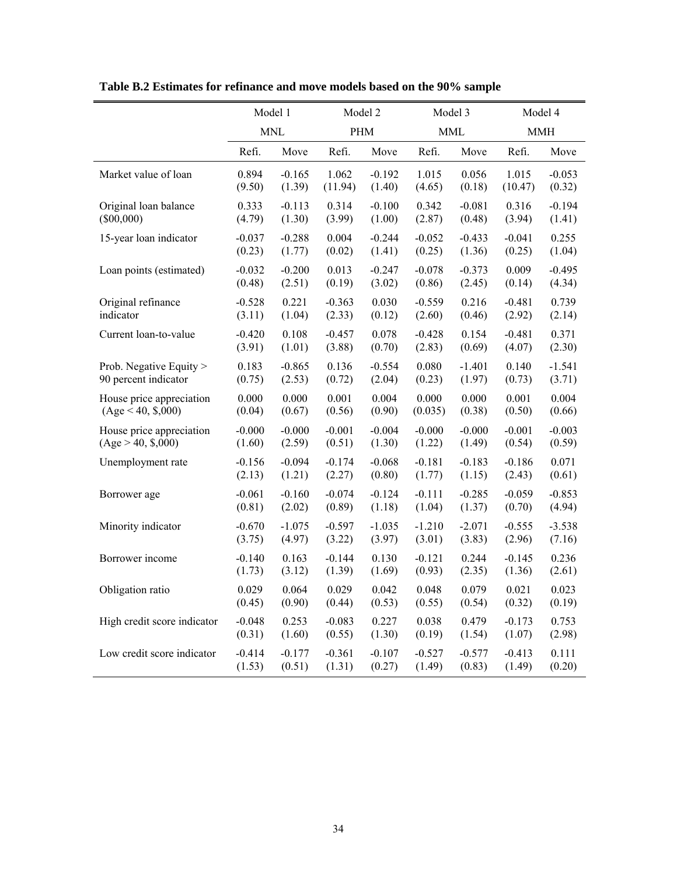|                             | Model 1    |          | Model 2  |          | Model 3    |          | Model 4    |          |
|-----------------------------|------------|----------|----------|----------|------------|----------|------------|----------|
|                             | <b>MNL</b> |          | PHM      |          | <b>MML</b> |          | <b>MMH</b> |          |
|                             | Refi.      | Move     | Refi.    | Move     | Refi.      | Move     | Refi.      | Move     |
| Market value of loan        | 0.894      | $-0.165$ | 1.062    | $-0.192$ | 1.015      | 0.056    | 1.015      | $-0.053$ |
|                             | (9.50)     | (1.39)   | (11.94)  | (1.40)   | (4.65)     | (0.18)   | (10.47)    | (0.32)   |
| Original loan balance       | 0.333      | $-0.113$ | 0.314    | $-0.100$ | 0.342      | $-0.081$ | 0.316      | $-0.194$ |
| $(\$00,000)$                | (4.79)     | (1.30)   | (3.99)   | (1.00)   | (2.87)     | (0.48)   | (3.94)     | (1.41)   |
| 15-year loan indicator      | $-0.037$   | $-0.288$ | 0.004    | $-0.244$ | $-0.052$   | $-0.433$ | $-0.041$   | 0.255    |
|                             | (0.23)     | (1.77)   | (0.02)   | (1.41)   | (0.25)     | (1.36)   | (0.25)     | (1.04)   |
| Loan points (estimated)     | $-0.032$   | $-0.200$ | 0.013    | $-0.247$ | $-0.078$   | $-0.373$ | 0.009      | $-0.495$ |
|                             | (0.48)     | (2.51)   | (0.19)   | (3.02)   | (0.86)     | (2.45)   | (0.14)     | (4.34)   |
| Original refinance          | $-0.528$   | 0.221    | $-0.363$ | 0.030    | $-0.559$   | 0.216    | $-0.481$   | 0.739    |
| indicator                   | (3.11)     | (1.04)   | (2.33)   | (0.12)   | (2.60)     | (0.46)   | (2.92)     | (2.14)   |
| Current loan-to-value       | $-0.420$   | 0.108    | $-0.457$ | 0.078    | $-0.428$   | 0.154    | $-0.481$   | 0.371    |
|                             | (3.91)     | (1.01)   | (3.88)   | (0.70)   | (2.83)     | (0.69)   | (4.07)     | (2.30)   |
| Prob. Negative Equity >     | 0.183      | $-0.865$ | 0.136    | $-0.554$ | 0.080      | $-1.401$ | 0.140      | $-1.541$ |
| 90 percent indicator        | (0.75)     | (2.53)   | (0.72)   | (2.04)   | (0.23)     | (1.97)   | (0.73)     | (3.71)   |
| House price appreciation    | 0.000      | 0.000    | 0.001    | 0.004    | 0.000      | 0.000    | 0.001      | 0.004    |
| (Age < 40, \$,000)          | (0.04)     | (0.67)   | (0.56)   | (0.90)   | (0.035)    | (0.38)   | (0.50)     | (0.66)   |
| House price appreciation    | $-0.000$   | $-0.000$ | $-0.001$ | $-0.004$ | $-0.000$   | $-0.000$ | $-0.001$   | $-0.003$ |
| (Age > 40, \$,000)          | (1.60)     | (2.59)   | (0.51)   | (1.30)   | (1.22)     | (1.49)   | (0.54)     | (0.59)   |
| Unemployment rate           | $-0.156$   | $-0.094$ | $-0.174$ | $-0.068$ | $-0.181$   | $-0.183$ | $-0.186$   | 0.071    |
|                             | (2.13)     | (1.21)   | (2.27)   | (0.80)   | (1.77)     | (1.15)   | (2.43)     | (0.61)   |
| Borrower age                | $-0.061$   | $-0.160$ | $-0.074$ | $-0.124$ | $-0.111$   | $-0.285$ | $-0.059$   | $-0.853$ |
|                             | (0.81)     | (2.02)   | (0.89)   | (1.18)   | (1.04)     | (1.37)   | (0.70)     | (4.94)   |
| Minority indicator          | $-0.670$   | $-1.075$ | $-0.597$ | $-1.035$ | $-1.210$   | $-2.071$ | $-0.555$   | $-3.538$ |
|                             | (3.75)     | (4.97)   | (3.22)   | (3.97)   | (3.01)     | (3.83)   | (2.96)     | (7.16)   |
| Borrower income             | $-0.140$   | 0.163    | $-0.144$ | 0.130    | $-0.121$   | 0.244    | $-0.145$   | 0.236    |
|                             | (1.73)     | (3.12)   | (1.39)   | (1.69)   | (0.93)     | (2.35)   | (1.36)     | (2.61)   |
| Obligation ratio            | 0.029      | 0.064    | 0.029    | 0.042    | 0.048      | 0.079    | 0.021      | 0.023    |
|                             | (0.45)     | (0.90)   | (0.44)   | (0.53)   | (0.55)     | (0.54)   | (0.32)     | (0.19)   |
| High credit score indicator | $-0.048$   | 0.253    | $-0.083$ | 0.227    | 0.038      | 0.479    | $-0.173$   | 0.753    |
|                             | (0.31)     | (1.60)   | (0.55)   | (1.30)   | (0.19)     | (1.54)   | (1.07)     | (2.98)   |
| Low credit score indicator  | $-0.414$   | $-0.177$ | $-0.361$ | $-0.107$ | $-0.527$   | $-0.577$ | $-0.413$   | 0.111    |
|                             | (1.53)     | (0.51)   | (1.31)   | (0.27)   | (1.49)     | (0.83)   | (1.49)     | (0.20)   |

**Table B.2 Estimates for refinance and move models based on the 90% sample**